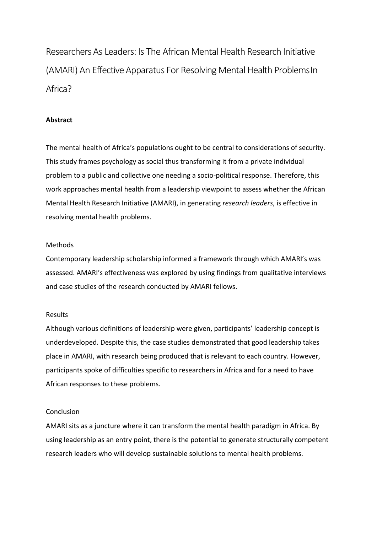Researchers As Leaders: Is The African Mental Health Research Initiative (AMARI) An Effective Apparatus For Resolving Mental Health ProblemsIn Africa?

#### **Abstract**

The mental health of Africa's populations ought to be central to considerations of security. This study frames psychology as social thus transforming it from a private individual problem to a public and collective one needing a socio-political response. Therefore, this work approaches mental health from a leadership viewpoint to assess whether the African Mental Health Research Initiative (AMARI), in generating *research leaders*, is effective in resolving mental health problems.

#### Methods

Contemporary leadership scholarship informed a framework through which AMARI's was assessed. AMARI's effectiveness was explored by using findings from qualitative interviews and case studies of the research conducted by AMARI fellows.

#### Results

Although various definitions of leadership were given, participants' leadership concept is underdeveloped. Despite this, the case studies demonstrated that good leadership takes place in AMARI, with research being produced that is relevant to each country. However, participants spoke of difficulties specific to researchers in Africa and for a need to have African responses to these problems.

#### **Conclusion**

AMARI sits as a juncture where it can transform the mental health paradigm in Africa. By using leadership as an entry point, there is the potential to generate structurally competent research leaders who will develop sustainable solutions to mental health problems.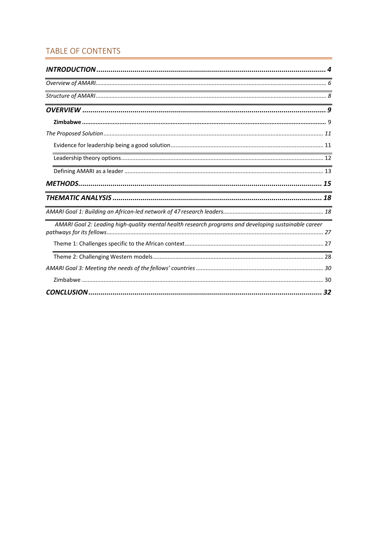### TABLE OF CONTENTS

| <u> 1989 - Johann Stoff, deutscher Stoff, der Stoff, der Stoff, der Stoff, der Stoff, der Stoff, der Stoff, der S</u> |
|-----------------------------------------------------------------------------------------------------------------------|
| <u> 1989 - Johann Harry Harry Harry Harry Harry Harry Harry Harry Harry Harry Harry Harry Harry Harry Harry Harry</u> |
|                                                                                                                       |
|                                                                                                                       |
|                                                                                                                       |
| <u> 1989 - Jan Samuel Barbara, margaret e a seu a componente de la propia de la propia de la propia de la propia</u>  |
|                                                                                                                       |
|                                                                                                                       |
|                                                                                                                       |
| <u> 1989 - Johann Stoff, amerikansk politiker (d. 1989)</u>                                                           |
|                                                                                                                       |
| AMARI Goal 2: Leading high-quality mental health research programs and developing sustainable career                  |
|                                                                                                                       |
|                                                                                                                       |
|                                                                                                                       |
|                                                                                                                       |
| 32                                                                                                                    |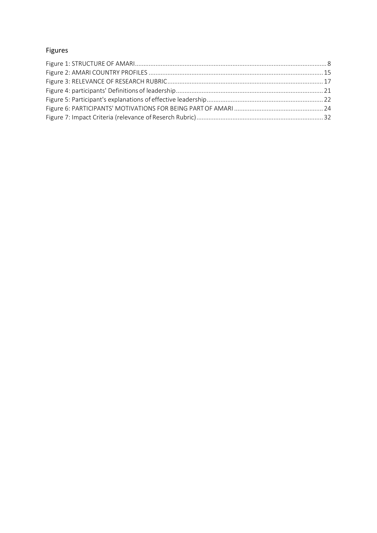## Figures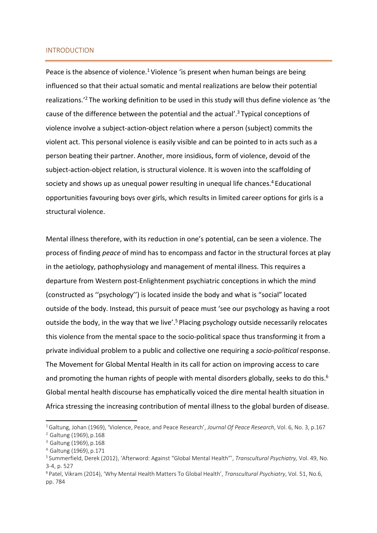#### INTRODUCTION

Peace is the absence of violence.<sup>1</sup> Violence 'is present when human beings are being influenced so that their actual somatic and mental realizations are below their potential realizations.'2 The working definition to be used in this study will thus define violence as 'the cause of the difference between the potential and the actual'.<sup>3</sup> Typical conceptions of violence involve a subject-action-object relation where a person (subject) commits the violent act. This personal violence is easily visible and can be pointed to in acts such as a person beating their partner. Another, more insidious, form of violence, devoid of the subject-action-object relation, is structural violence. It is woven into the scaffolding of society and shows up as unequal power resulting in unequal life chances.<sup>4</sup> Educational opportunities favouring boys over girls, which results in limited career options for girls is a structural violence.

Mental illness therefore, with its reduction in one's potential, can be seen a violence. The process of finding *peace* of mind has to encompass and factor in the structural forces at play in the aetiology, pathophysiology and management of mental illness. This requires a departure from Western post-Enlightenment psychiatric conceptions in which the mind (constructed as ''psychology'') is located inside the body and what is "social" located outside of the body. Instead, this pursuit of peace must 'see our psychology as having a root outside the body, in the way that we live'.<sup>5</sup> Placing psychology outside necessarily relocates this violence from the mental space to the socio-political space thus transforming it from a private individual problem to a public and collective one requiring a *socio-political* response. The Movement for Global Mental Health in its call for action on improving access to care and promoting the human rights of people with mental disorders globally, seeks to do this.<sup>6</sup> Global mental health discourse has emphatically voiced the dire mental health situation in Africa stressing the increasing contribution of mental illness to the global burden of disease.

<sup>1</sup> Galtung, Johan (1969), 'Violence, Peace, and Peace Research', *Journal Of Peace Research*, Vol. 6, No. 3, p.167 <sup>2</sup> Galtung (1969), p.168

<sup>&</sup>lt;sup>3</sup> Galtung (1969), p.168

<sup>4</sup> Galtung (1969), p.171

<sup>5</sup> Summerfield, Derek (2012), 'Afterword: Against "Global Mental Health"', *Transcultural Psychiatry,* Vol. 49, No. 3-4, p. 527

<sup>6</sup> Patel, Vikram (2014), 'Why Mental Health Matters To Global Health', *Transcultural Psychiatry*, Vol. 51, No.6, pp. 784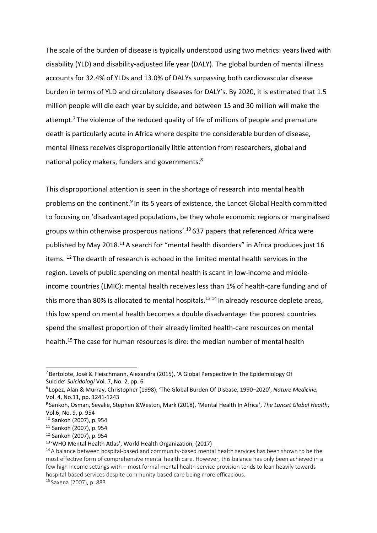The scale of the burden of disease is typically understood using two metrics: years lived with disability (YLD) and disability-adjusted life year (DALY). The global burden of mental illness accounts for 32.4% of YLDs and 13.0% of DALYs surpassing both cardiovascular disease burden in terms of YLD and circulatory diseases for DALY's. By 2020, it is estimated that 1.5 million people will die each year by suicide, and between 15 and 30 million will make the attempt.<sup>7</sup> The violence of the reduced quality of life of millions of people and premature death is particularly acute in Africa where despite the considerable burden of disease, mental illness receives disproportionally little attention from researchers, global and national policy makers, funders and governments.<sup>8</sup>

This disproportional attention is seen in the shortage of research into mental health problems on the continent.<sup>9</sup> In its 5 years of existence, the Lancet Global Health committed to focusing on 'disadvantaged populations, be they whole economic regions or marginalised groups within otherwise prosperous nations'.10 637 papers that referenced Africa were published by May 2018.11 A search for "mental health disorders" in Africa produces just 16 items. 12 The dearth of research is echoed in the limited mental health services in the region. Levels of public spending on mental health is scant in low-income and middleincome countries (LMIC): mental health receives less than 1% of health-care funding and of this more than 80% is allocated to mental hospitals.<sup>13 14</sup> In already resource deplete areas, this low spend on mental health becomes a double disadvantage: the poorest countries spend the smallest proportion of their already limited health-care resources on mental health.15 The case for human resources is dire: the median number of mental health

<sup>7</sup> Bertolote, José & Fleischmann, Alexandra (2015), 'A Global Perspective In The Epidemiology Of Suicide' *Suicidologi* Vol. 7, No. 2, pp. 6

<sup>8</sup> Lopez, Alan & Murray, Christopher (1998), 'The Global Burden Of Disease, 1990–2020', *Nature Medicine,* Vol. 4, No.11, pp. 1241-1243

<sup>9</sup> Sankoh, Osman, Sevalie, Stephen &Weston, Mark (2018), 'Mental Health In Africa', *The Lancet Global Health*, Vol.6, No. 9, p. 954

 $10$  Sankoh (2007), p. 954

<sup>11</sup> Sankoh (2007), p. 954

<sup>&</sup>lt;sup>12</sup> Sankoh (2007), p. 954

<sup>13 &#</sup>x27;WHO Mental Health Atlas', World Health Organization, (2017)

<sup>&</sup>lt;sup>14</sup> A balance between hospital-based and community-based mental health services has been shown to be the most effective form of comprehensive mental health care. However, this balance has only been achieved in a few high income settings with – most formal mental health service provision tends to lean heavily towards hospital-based services despite community-based care being more efficacious.

<sup>15</sup> Saxena (2007), p. 883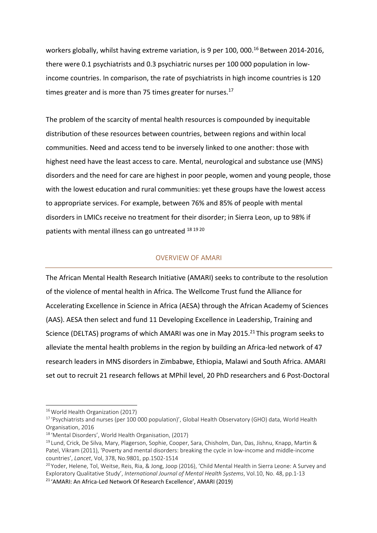workers globally, whilst having extreme variation, is 9 per 100, 000.<sup>16</sup> Between 2014-2016, there were 0.1 psychiatrists and 0.3 psychiatric nurses per 100 000 population in lowincome countries. In comparison, the rate of psychiatrists in high income countries is 120 times greater and is more than 75 times greater for nurses. $17$ 

The problem of the scarcity of mental health resources is compounded by inequitable distribution of these resources between countries, between regions and within local communities. Need and access tend to be inversely linked to one another: those with highest need have the least access to care. Mental, neurological and substance use (MNS) disorders and the need for care are highest in poor people, women and young people, those with the lowest education and rural communities: yet these groups have the lowest access to appropriate services. For example, between 76% and 85% of people with mental disorders in LMICs receive no treatment for their disorder; in Sierra Leon, up to 98% if patients with mental illness can go untreated 18 19 20

#### OVERVIEW OF AMARI

The African Mental Health Research Initiative (AMARI) seeks to contribute to the resolution of the violence of mental health in Africa. The Wellcome Trust fund the Alliance for Accelerating Excellence in Science in Africa (AESA) through the African Academy of Sciences (AAS). AESA then select and fund 11 Developing Excellence in Leadership, Training and Science (DELTAS) programs of which AMARI was one in May 2015.<sup>21</sup> This program seeks to alleviate the mental health problems in the region by building an Africa-led network of 47 research leaders in MNS disorders in Zimbabwe, Ethiopia, Malawi and South Africa. AMARI set out to recruit 21 research fellows at MPhil level, 20 PhD researchers and 6 Post-Doctoral

<sup>&</sup>lt;sup>16</sup> World Health Organization (2017)

<sup>&</sup>lt;sup>17</sup> 'Psychiatrists and nurses (per 100 000 population)', Global Health Observatory (GHO) data, World Health Organisation, 2016

<sup>18 &#</sup>x27;Mental Disorders', World Health Organisation, (2017)

<sup>&</sup>lt;sup>19</sup> Lund, Crick, De Silva, Mary, Plagerson, Sophie, Cooper, Sara, Chisholm, Dan, Das, Jishnu, Knapp, Martin & Patel, Vikram (2011), 'Poverty and mental disorders: breaking the cycle in low-income and middle-income countries', *Lancet*, Vol, 378, No.9801, pp.1502-1514

<sup>&</sup>lt;sup>20</sup> Yoder, Helene, Tol, Weitse, Reis, Ria, & Jong, Joop (2016), 'Child Mental Health in Sierra Leone: A Survey and Exploratory Qualitative Study', *International Journal of Mental Health Systems*, Vol.10, No. 48, pp.1-13 21 'AMARI: An Africa-Led Network Of Research Excellence', AMARI (2019)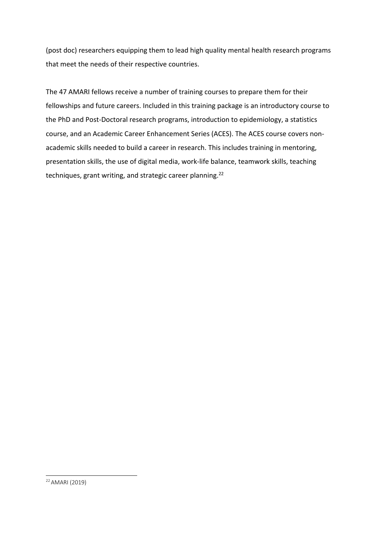(post doc) researchers equipping them to lead high quality mental health research programs that meet the needs of their respective countries.

The 47 AMARI fellows receive a number of training courses to prepare them for their fellowships and future careers. Included in this training package is an introductory course to the PhD and Post-Doctoral research programs, introduction to epidemiology, a statistics course, and an Academic Career Enhancement Series (ACES). The ACES course covers nonacademic skills needed to build a career in research. This includes training in mentoring, presentation skills, the use of digital media, work-life balance, teamwork skills, teaching techniques, grant writing, and strategic career planning.<sup>22</sup>

<sup>22</sup> AMARI (2019)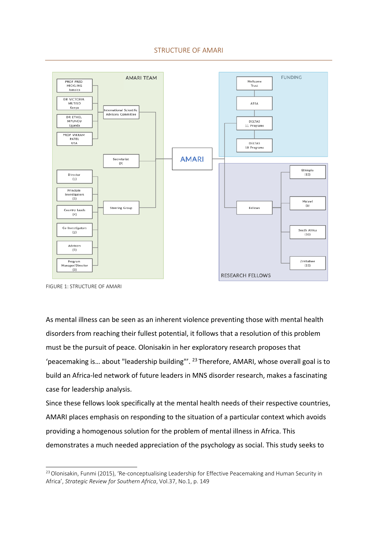

FIGURE 1: STRUCTURE OF AMARI

As mental illness can be seen as an inherent violence preventing those with mental health disorders from reaching their fullest potential, it follows that a resolution of this problem must be the pursuit of peace. Olonisakin in her exploratory research proposes that 'peacemaking is… about "leadership building"'. 23 Therefore, AMARI, whose overall goal is to build an Africa-led network of future leaders in MNS disorder research, makes a fascinating case for leadership analysis.

Since these fellows look specifically at the mental health needs of their respective countries, AMARI places emphasis on responding to the situation of a particular context which avoids providing a homogenous solution for the problem of mental illness in Africa. This demonstrates a much needed appreciation of the psychology as social. This study seeks to

<sup>&</sup>lt;sup>23</sup> Olonisakin, Funmi (2015), 'Re-conceptualising Leadership for Effective Peacemaking and Human Security in Africa', *Strategic Review for Southern Africa*, Vol.37, No.1, p. 149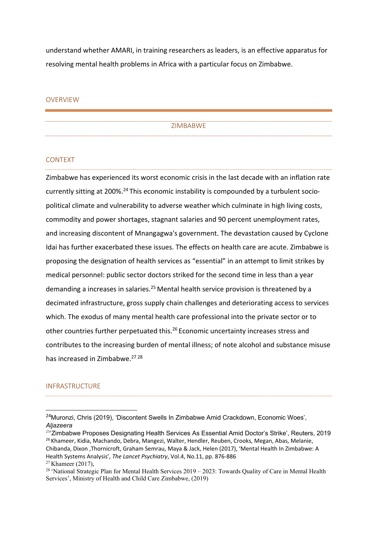understand whether AMARI, in training researchers as leaders, is an effective apparatus for resolving mental health problems in Africa with a particular focus on Zimbabwe.

#### OVERVIEW

ZIMBABWE

#### CONTEXT

Zimbabwe has experienced its worst economic crisis in the last decade with an inflation rate currently sitting at 200%.<sup>24</sup> This economic instability is compounded by a turbulent sociopolitical climate and vulnerability to adverse weather which culminate in high living costs, commodity and power shortages, stagnant salaries and 90 percent unemployment rates, and increasing discontent of Mnangagwa's government. The devastation caused by Cyclone Idai has further exacerbated these issues. The effects on health care are acute. Zimbabwe is proposing the designation of health services as "essential" in an attempt to limit strikes by medical personnel: public sector doctors striked for the second time in less than a year demanding a increases in salaries.<sup>25</sup> Mental health service provision is threatened by a decimated infrastructure, gross supply chain challenges and deteriorating access to services which. The exodus of many mental health care professional into the private sector or to other countries further perpetuated this.26 Economic uncertainty increases stress and contributes to the increasing burden of mental illness; of note alcohol and substance misuse has increased in Zimbabwe.27 28

#### INFRASTRUCTURE

<sup>&</sup>lt;sup>24</sup>Muronzi, Chris (2019), 'Discontent Swells In Zimbabwe Amid Crackdown, Economic Woes', *Aljazeera*

<sup>&</sup>lt;sup>25'</sup>Zimbabwe Proposes Designating Health Services As Essential Amid Doctor's Strike', Reuters, 2019 <sup>26</sup> Khameer, Kidia, Machando, Debra, Mangezi, Walter, Hendler, Reuben, Crooks, Megan, Abas, Melanie, Chibanda, Dixon ,Thornicroft, Graham Semrau, Maya & Jack, Helen (2017), 'Mental Health In Zimbabwe: A Health Systems Analysis', *The Lancet Psychiatry*, Vol.4, No.11, pp. 876-886

 $27$  Khameer (2017),

<sup>&</sup>lt;sup>28</sup> 'National Strategic Plan for Mental Health Services  $2019 - 2023$ : Towards Quality of Care in Mental Health Services', Ministry of Health and Child Care Zimbabwe, (2019)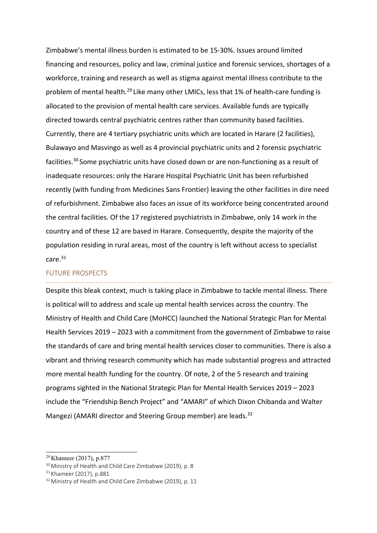Zimbabwe's mental illness burden is estimated to be 15-30%. Issues around limited financing and resources, policy and law, criminal justice and forensic services, shortages of a workforce, training and research as well as stigma against mental illness contribute to the problem of mental health.29 Like many other LMICs, less that 1% of health-care funding is allocated to the provision of mental health care services. Available funds are typically directed towards central psychiatric centres rather than community based facilities. Currently, there are 4 tertiary psychiatric units which are located in Harare (2 facilities), Bulawayo and Masvingo as well as 4 provincial psychiatric units and 2 forensic psychiatric facilities.30 Some psychiatric units have closed down or are non-functioning as a result of inadequate resources: only the Harare Hospital Psychiatric Unit has been refurbished recently (with funding from Medicines Sans Frontier) leaving the other facilities in dire need of refurbishment. Zimbabwe also faces an issue of its workforce being concentrated around the central facilities. Of the 17 registered psychiatrists in Zimbabwe, only 14 work in the country and of these 12 are based in Harare. Consequently, despite the majority of the population residing in rural areas, most of the country is left without access to specialist care.31

#### FUTURE PROSPECTS

Despite this bleak context, much is taking place in Zimbabwe to tackle mental illness. There is political will to address and scale up mental health services across the country. The Ministry of Health and Child Care (MoHCC) launched the National Strategic Plan for Mental Health Services 2019 – 2023 with a commitment from the government of Zimbabwe to raise the standards of care and bring mental health services closer to communities. There is also a vibrant and thriving research community which has made substantial progress and attracted more mental health funding for the country. Of note, 2 of the 5 research and training programs sighted in the National Strategic Plan for Mental Health Services 2019 – 2023 include the "Friendship Bench Project" and "AMARI" of which Dixon Chibanda and Walter Mangezi (AMARI director and Steering Group member) are leads.<sup>32</sup>

<sup>29</sup> Khameer (2017), p.877

<sup>30</sup> Ministry of Health and Child Care Zimbabwe (2019), p. 8

<sup>&</sup>lt;sup>31</sup> Khameer (2017), p.881

<sup>&</sup>lt;sup>32</sup> Ministry of Health and Child Care Zimbabwe (2019), p. 11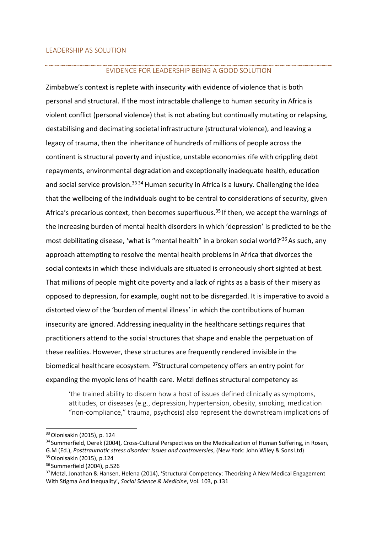#### EVIDENCE FOR LEADERSHIP BEING A GOOD SOLUTION

Zimbabwe's context is replete with insecurity with evidence of violence that is both personal and structural. If the most intractable challenge to human security in Africa is violent conflict (personal violence) that is not abating but continually mutating or relapsing, destabilising and decimating societal infrastructure (structural violence), and leaving a legacy of trauma, then the inheritance of hundreds of millions of people across the continent is structural poverty and injustice, unstable economies rife with crippling debt repayments, environmental degradation and exceptionally inadequate health, education and social service provision.<sup>33 34</sup> Human security in Africa is a luxury. Challenging the idea that the wellbeing of the individuals ought to be central to considerations of security, given Africa's precarious context, then becomes superfluous.<sup>35</sup> If then, we accept the warnings of the increasing burden of mental health disorders in which 'depression' is predicted to be the most debilitating disease, 'what is "mental health" in a broken social world?'<sup>36</sup> As such, any approach attempting to resolve the mental health problems in Africa that divorces the social contexts in which these individuals are situated is erroneously short sighted at best. That millions of people might cite poverty and a lack of rights as a basis of their misery as opposed to depression, for example, ought not to be disregarded. It is imperative to avoid a distorted view of the 'burden of mental illness' in which the contributions of human insecurity are ignored. Addressing inequality in the healthcare settings requires that practitioners attend to the social structures that shape and enable the perpetuation of these realities. However, these structures are frequently rendered invisible in the biomedical healthcare ecosystem. 37Structural competency offers an entry point for expanding the myopic lens of health care. Metzl defines structural competency as

'the trained ability to discern how a host of issues defined clinically as symptoms, attitudes, or diseases (e.g., depression, hypertension, obesity, smoking, medication "non-compliance," trauma, psychosis) also represent the downstream implications of

35 Olonisakin (2015), p.124

<sup>33</sup> Olonisakin (2015), p. 124

<sup>&</sup>lt;sup>34</sup> Summerfield, Derek (2004), Cross-Cultural Perspectives on the Medicalization of Human Suffering, in Rosen, G.M (Ed.), *Posttraumatic stress disorder: Issues and controversies*, (New York: John Wiley & Sons Ltd)

<sup>36</sup> Summerfield (2004), p.526

<sup>&</sup>lt;sup>37</sup> Metzl, Jonathan & Hansen, Helena (2014), 'Structural Competency: Theorizing A New Medical Engagement With Stigma And Inequality', *Social Science & Medicine*, Vol. 103, p.131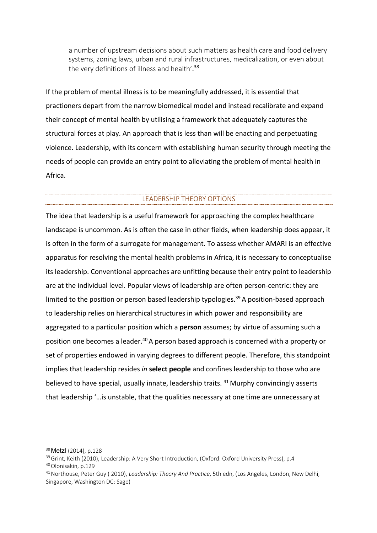a number of upstream decisions about such matters as health care and food delivery systems, zoning laws, urban and rural infrastructures, medicalization, or even about the very definitions of illness and health'. 38

If the problem of mental illness is to be meaningfully addressed, it is essential that practioners depart from the narrow biomedical model and instead recalibrate and expand their concept of mental health by utilising a framework that adequately captures the structural forces at play. An approach that is less than will be enacting and perpetuating violence. Leadership, with its concern with establishing human security through meeting the needs of people can provide an entry point to alleviating the problem of mental health in Africa.

#### LEADERSHIP THEORY OPTIONS

The idea that leadership is a useful framework for approaching the complex healthcare landscape is uncommon. As is often the case in other fields, when leadership does appear, it is often in the form of a surrogate for management. To assess whether AMARI is an effective apparatus for resolving the mental health problems in Africa, it is necessary to conceptualise its leadership. Conventional approaches are unfitting because their entry point to leadership are at the individual level. Popular views of leadership are often person-centric: they are limited to the position or person based leadership typologies.<sup>39</sup> A position-based approach to leadership relies on hierarchical structures in which power and responsibility are aggregated to a particular position which a **person** assumes; by virtue of assuming such a position one becomes a leader.<sup>40</sup> A person based approach is concerned with a property or set of properties endowed in varying degrees to different people. Therefore, this standpoint implies that leadership resides *in* **select people** and confines leadership to those who are believed to have special, usually innate, leadership traits. <sup>41</sup> Murphy convincingly asserts that leadership '…is unstable, that the qualities necessary at one time are unnecessary at

<sup>38</sup>Metzl (2014), p.128

<sup>&</sup>lt;sup>39</sup> Grint, Keith (2010), Leadership: A Very Short Introduction, (Oxford: Oxford University Press), p.4

<sup>40</sup> Olonisakin, p.129

<sup>41</sup> Northouse, Peter Guy ( 2010), *Leadership: Theory And Practice*, 5th edn, (Los Angeles, London, New Delhi, Singapore, Washington DC: Sage)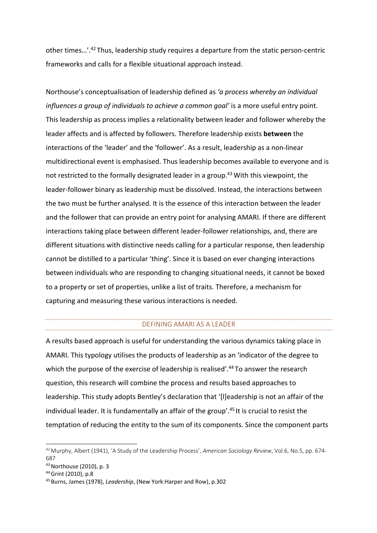other times…'.42 Thus, leadership study requires a departure from the static person-centric frameworks and calls for a flexible situational approach instead.

Northouse's conceptualisation of leadership defined as *'a process whereby an individual influences a group of individuals to achieve a common goal'* is a more useful entry point. This leadership as process implies a relationality between leader and follower whereby the leader affects and is affected by followers. Therefore leadership exists **between** the interactions of the 'leader' and the 'follower'. As a result, leadership as a non-linear multidirectional event is emphasised. Thus leadership becomes available to everyone and is not restricted to the formally designated leader in a group.<sup>43</sup> With this viewpoint, the leader-follower binary as leadership must be dissolved. Instead, the interactions between the two must be further analysed. It is the essence of this interaction between the leader and the follower that can provide an entry point for analysing AMARI. If there are different interactions taking place between different leader-follower relationships, and, there are different situations with distinctive needs calling for a particular response, then leadership cannot be distilled to a particular 'thing'. Since it is based on ever changing interactions between individuals who are responding to changing situational needs, it cannot be boxed to a property or set of properties, unlike a list of traits. Therefore, a mechanism for capturing and measuring these various interactions is needed.

#### DEFINING AMARI AS A LEADER

A results based approach is useful for understanding the various dynamics taking place in AMARI. This typology utilises the products of leadership as an 'indicator of the degree to which the purpose of the exercise of leadership is realised'.<sup>44</sup> To answer the research question, this research will combine the process and results based approaches to leadership. This study adopts Bentley's declaration that '[l]eadership is not an affair of the individual leader. It is fundamentally an affair of the group'.<sup>45</sup> It is crucial to resist the temptation of reducing the entity to the sum of its components. Since the component parts

<sup>42</sup> Murphy, Albert (1941), 'A Study of the Leadership Process', *American Sociology Review*, Vol.6, No.5, pp. 674- 687

<sup>43</sup> Northouse (2010), p. 3

<sup>44</sup> Grint (2010), p.8

<sup>45</sup> Burns, James (1978), *Leadership*, (New York:Harper and Row), p.302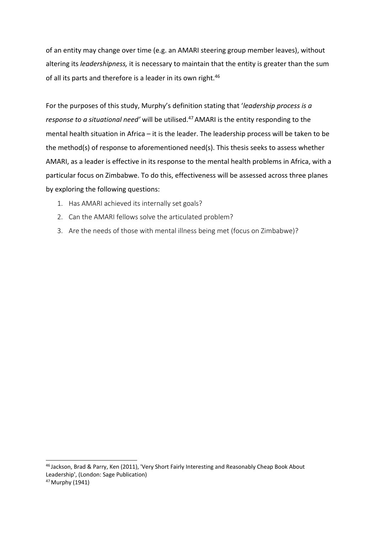of an entity may change over time (e.g. an AMARI steering group member leaves), without altering its *leadershipness,* it is necessary to maintain that the entity is greater than the sum of all its parts and therefore is a leader in its own right.<sup>46</sup>

For the purposes of this study, Murphy's definition stating that '*leadership process is a response to a situational need'* will be utilised.<sup>47</sup> AMARI is the entity responding to the mental health situation in Africa – it is the leader. The leadership process will be taken to be the method(s) of response to aforementioned need(s). This thesis seeks to assess whether AMARI, as a leader is effective in its response to the mental health problems in Africa, with a particular focus on Zimbabwe. To do this, effectiveness will be assessed across three planes by exploring the following questions:

- 1. Has AMARI achieved its internally set goals?
- 2. Can the AMARI fellows solve the articulated problem?
- 3. Are the needs of those with mental illness being met (focus on Zimbabwe)?

<sup>46</sup> Jackson, Brad & Parry, Ken (2011), 'Very Short Fairly Interesting and Reasonably Cheap Book About Leadership', (London: Sage Publication)

<sup>47</sup> Murphy (1941)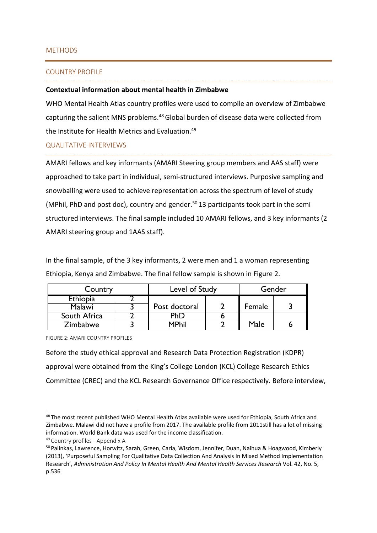#### METHODS

#### COUNTRY PROFILE

#### **Contextual information about mental health in Zimbabwe**

WHO Mental Health Atlas country profiles were used to compile an overview of Zimbabwe capturing the salient MNS problems.48 Global burden of disease data were collected from the Institute for Health Metrics and Evaluation.<sup>49</sup>

#### QUALITATIVE INTERVIEWS

AMARI fellows and key informants (AMARI Steering group members and AAS staff) were approached to take part in individual, semi-structured interviews. Purposive sampling and snowballing were used to achieve representation across the spectrum of level of study (MPhil, PhD and post doc), country and gender.<sup>50</sup> 13 participants took part in the semi structured interviews. The final sample included 10 AMARI fellows, and 3 key informants (2 AMARI steering group and 1AAS staff).

In the final sample, of the 3 key informants, 2 were men and 1 a woman representing Ethiopia, Kenya and Zimbabwe. The final fellow sample is shown in Figure 2.

| Country         | Level of Study |  | Gender |  |
|-----------------|----------------|--|--------|--|
| <b>Ethiopia</b> |                |  |        |  |
| Malawi          | Post doctoral  |  | Female |  |
| South Africa    | PhD            |  |        |  |
| Zimbabwe        | MPhil          |  | Male   |  |

FIGURE 2: AMARI COUNTRY PROFILES

Before the study ethical approval and Research Data Protection Registration (KDPR) approval were obtained from the King's College London (KCL) College Research Ethics Committee (CREC) and the KCL Research Governance Office respectively. Before interview,

<sup>48</sup> The most recent published WHO Mental Health Atlas available were used for Ethiopia, South Africa and Zimbabwe. Malawi did not have a profile from 2017. The available profile from 2011still has a lot of missing information. World Bank data was used for the income classification.

<sup>49</sup> Country profiles - Appendix A

<sup>50</sup> Palinkas, Lawrence, Horwitz, Sarah, Green, Carla, Wisdom, Jennifer, Duan, Naihua & Hoagwood, Kimberly (2013), 'Purposeful Sampling For Qualitative Data Collection And Analysis In Mixed Method Implementation Research', *Administration And Policy In Mental Health And Mental Health Services Research* Vol. 42, No. 5, p.536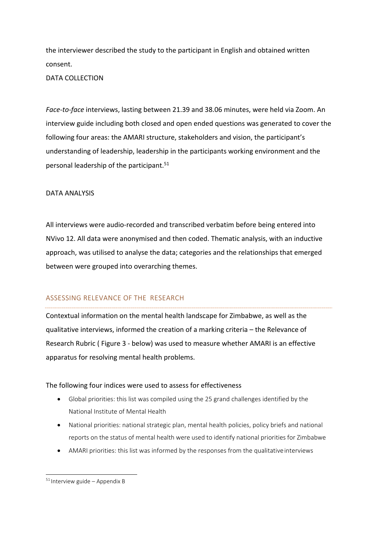the interviewer described the study to the participant in English and obtained written consent.

#### DATA COLLECTION

*Face-to-face* interviews, lasting between 21.39 and 38.06 minutes, were held via Zoom. An interview guide including both closed and open ended questions was generated to cover the following four areas: the AMARI structure, stakeholders and vision, the participant's understanding of leadership, leadership in the participants working environment and the personal leadership of the participant.51

#### DATA ANALYSIS

All interviews were audio-recorded and transcribed verbatim before being entered into NVivo 12. All data were anonymised and then coded. Thematic analysis, with an inductive approach, was utilised to analyse the data; categories and the relationships that emerged between were grouped into overarching themes.

#### ASSESSING RELEVANCE OF THE RESEARCH

Contextual information on the mental health landscape for Zimbabwe, as well as the qualitative interviews, informed the creation of a marking criteria – the Relevance of Research Rubric ( Figure 3 - below) was used to measure whether AMARI is an effective apparatus for resolving mental health problems.

#### The following four indices were used to assess for effectiveness

- Global priorities: this list was compiled using the 25 grand challenges identified by the National Institute of Mental Health
- National priorities: national strategic plan, mental health policies, policy briefs and national reports on the status of mental health were used to identify national priorities for Zimbabwe
- AMARI priorities: this list was informed by the responses from the qualitative interviews

 $51$  Interview guide – Appendix B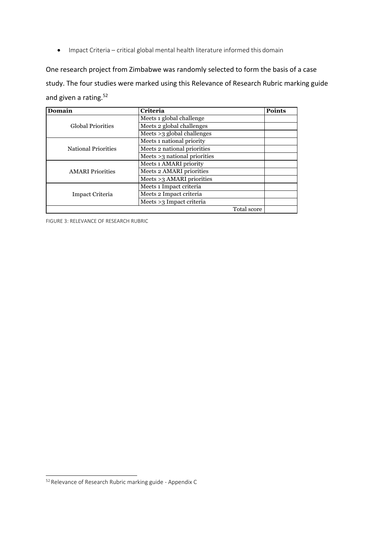• Impact Criteria – critical global mental health literature informed this domain

One research project from Zimbabwe was randomly selected to form the basis of a case study. The four studies were marked using this Relevance of Research Rubric marking guide and given a rating.<sup>52</sup>

| Domain                     | <b>Criteria</b>                | <b>Points</b> |
|----------------------------|--------------------------------|---------------|
|                            | Meets 1 global challenge       |               |
| <b>Global Priorities</b>   | Meets 2 global challenges      |               |
|                            | Meets >3 global challenges     |               |
|                            | Meets 1 national priority      |               |
| <b>National Priorities</b> | Meets 2 national priorities    |               |
|                            | Meets $>3$ national priorities |               |
|                            | Meets 1 AMARI priority         |               |
| <b>AMARI</b> Priorities    | Meets 2 AMARI priorities       |               |
|                            | Meets >3 AMARI priorities      |               |
|                            | Meets 1 Impact criteria        |               |
| Impact Criteria            | Meets 2 Impact criteria        |               |
|                            | Meets >3 Impact criteria       |               |
|                            | Total score                    |               |

FIGURE 3: RELEVANCE OF RESEARCH RUBRIC

<sup>52</sup> Relevance of Research Rubric marking guide - Appendix C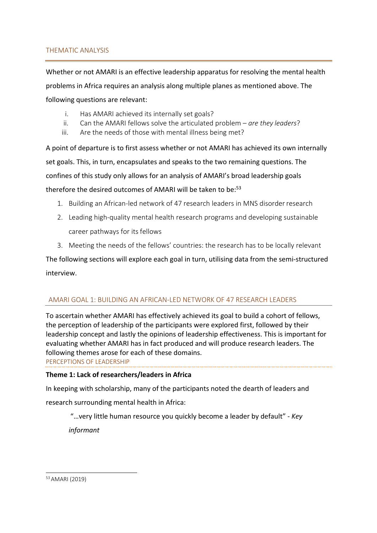#### THEMATIC ANALYSIS

Whether or not AMARI is an effective leadership apparatus for resolving the mental health problems in Africa requires an analysis along multiple planes as mentioned above. The following questions are relevant:

- i. Has AMARI achieved its internally set goals?
- ii. Can the AMARI fellows solve the articulated problem *are they leaders*?
- iii. Are the needs of those with mental illness being met?

A point of departure is to first assess whether or not AMARI has achieved its own internally set goals. This, in turn, encapsulates and speaks to the two remaining questions. The confines of this study only allows for an analysis of AMARI's broad leadership goals therefore the desired outcomes of AMARI will be taken to be:<sup>53</sup>

- 1. Building an African-led network of 47 research leaders in MNS disorderresearch
- 2. Leading high-quality mental health research programs and developing sustainable career pathways for its fellows
- 3. Meeting the needs of the fellows' countries: the research has to be locally relevant

The following sections will explore each goal in turn, utilising data from the semi-structured interview.

#### AMARI GOAL 1: BUILDING AN AFRICAN-LED NETWORK OF 47 RESEARCH LEADERS

To ascertain whether AMARI has effectively achieved its goal to build a cohort of fellows, the perception of leadership of the participants were explored first, followed by their leadership concept and lastly the opinions of leadership effectiveness. This is important for evaluating whether AMARI has in fact produced and will produce research leaders. The following themes arose for each of these domains. PERCEPTIONS OF LEADERSHIP

#### **Theme 1: Lack of researchers/leaders in Africa**

In keeping with scholarship, many of the participants noted the dearth of leaders and research surrounding mental health in Africa:

"…very little human resource you quickly become a leader by default" - *Key* 

*informant*

<sup>53</sup> AMARI (2019)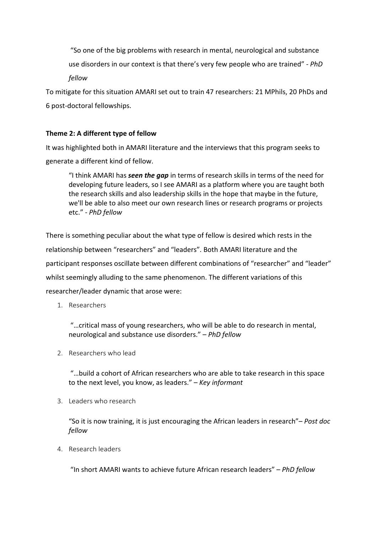"So one of the big problems with research in mental, neurological and substance use disorders in our context is that there's very few people who are trained" - *PhD fellow*

To mitigate for this situation AMARI set out to train 47 researchers: 21 MPhils, 20 PhDs and 6 post-doctoral fellowships.

#### **Theme 2: A different type of fellow**

It was highlighted both in AMARI literature and the interviews that this program seeks to generate a different kind of fellow.

"I think AMARI has *seen the gap* in terms of research skills in terms of the need for developing future leaders, so I see AMARI as a platform where you are taught both the research skills and also leadership skills in the hope that maybe in the future, we'll be able to also meet our own research lines or research programs or projects etc." - *PhD fellow*

There is something peculiar about the what type of fellow is desired which rests in the relationship between "researchers" and "leaders". Both AMARI literature and the participant responses oscillate between different combinations of "researcher" and "leader" whilst seemingly alluding to the same phenomenon. The different variations of this researcher/leader dynamic that arose were:

1. Researchers

"…critical mass of young researchers, who will be able to do research in mental, neurological and substance use disorders." – *PhD fellow*

2. Researchers who lead

"…build a cohort of African researchers who are able to take research in this space to the next level, you know, as leaders." – *Key informant*

3. Leaders who research

"So it is now training, it is just encouraging the African leaders in research"– *Post doc fellow*

4. Research leaders

"In short AMARI wants to achieve future African research leaders" – *PhD fellow*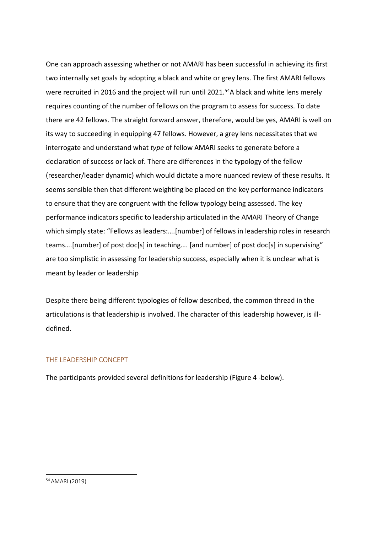One can approach assessing whether or not AMARI has been successful in achieving its first two internally set goals by adopting a black and white or grey lens. The first AMARI fellows were recruited in 2016 and the project will run until 2021.<sup>54</sup>A black and white lens merely requires counting of the number of fellows on the program to assess for success. To date there are 42 fellows. The straight forward answer, therefore, would be yes, AMARI is well on its way to succeeding in equipping 47 fellows. However, a grey lens necessitates that we interrogate and understand what *type* of fellow AMARI seeks to generate before a declaration of success or lack of. There are differences in the typology of the fellow (researcher/leader dynamic) which would dictate a more nuanced review of these results. It seems sensible then that different weighting be placed on the key performance indicators to ensure that they are congruent with the fellow typology being assessed. The key performance indicators specific to leadership articulated in the AMARI Theory of Change which simply state: "Fellows as leaders:….[number] of fellows in leadership roles in research teams….[number] of post doc[s] in teaching…. [and number] of post doc[s] in supervising" are too simplistic in assessing for leadership success, especially when it is unclear what is meant by leader or leadership

Despite there being different typologies of fellow described, the common thread in the articulations is that leadership is involved. The character of this leadership however, is illdefined.

#### THE LEADERSHIP CONCEPT

The participants provided several definitions for leadership (Figure 4 -below).

<sup>54</sup> AMARI (2019)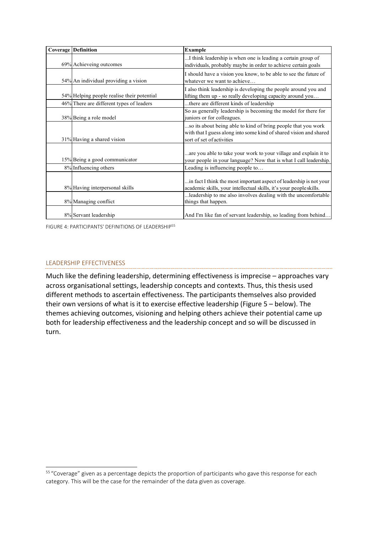| <b>Coverage Definition</b>                 | <b>Example</b>                                                                                                                                                                                               |
|--------------------------------------------|--------------------------------------------------------------------------------------------------------------------------------------------------------------------------------------------------------------|
| 69% Achieveing outcomes                    | I think leadership is when one is leading a certain group of<br>individuals, probably maybe in order to achieve certain goals                                                                                |
| 54% An individual providing a vision       | I should have a vision you know, to be able to see the future of<br>whatever we want to achieve                                                                                                              |
| 54% Helping people realise their potential | I also think leadership is developing the people around you and<br>lifting them up - so really developing capacity around you                                                                                |
| 46% There are different types of leaders   | there are different kinds of leadership                                                                                                                                                                      |
| 38% Being a role model                     | So as generally leadership is becoming the model for there for<br>juniors or for colleagues.                                                                                                                 |
| 31% Having a shared vision                 | so its about being able to kind of bring people that you work<br>with that I guess along into some kind of shared vision and shared<br>sort of set of activities                                             |
| 15% Being a good communicator              | are you able to take your work to your village and explain it to<br>your people in your language? Now that is what I call leadership.                                                                        |
| 8% Influencing others                      | Leading is influencing people to                                                                                                                                                                             |
| 8% Having interpersonal skills             | in fact I think the most important aspect of leadership is not your<br>academic skills, your intellectual skills, it's your people skills.<br>leadership to me also involves dealing with the uncomfortable. |
| 8% Managing conflict                       | things that happen.                                                                                                                                                                                          |
| 8% Servant leadership                      | And I'm like fan of servant leadership, so leading from behind                                                                                                                                               |

FIGURE 4: PARTICIPANTS' DEFINITIONS OF LEADERSHIP55

#### LEADERSHIP EFFECTIVENESS

Much like the defining leadership, determining effectiveness is imprecise – approaches vary across organisational settings, leadership concepts and contexts. Thus, this thesis used different methods to ascertain effectiveness. The participants themselves also provided their own versions of what is it to exercise effective leadership (Figure 5 – below). The themes achieving outcomes, visioning and helping others achieve their potential came up both for leadership effectiveness and the leadership concept and so will be discussed in turn.

<sup>&</sup>lt;sup>55</sup> "Coverage" given as a percentage depicts the proportion of participants who gave this response for each category. This will be the case for the remainder of the data given as coverage.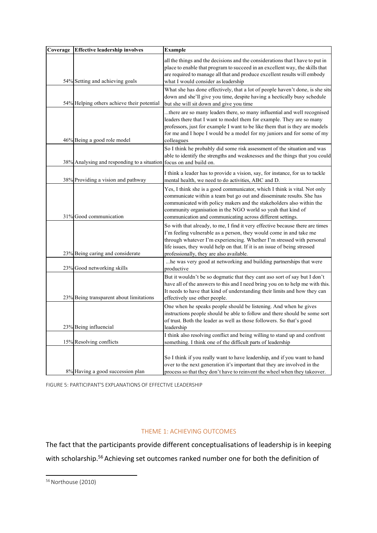| Coverage | <b>Effective leadership involves</b>                               | <b>Example</b>                                                                                                                                                                                                                                                                                                                                           |
|----------|--------------------------------------------------------------------|----------------------------------------------------------------------------------------------------------------------------------------------------------------------------------------------------------------------------------------------------------------------------------------------------------------------------------------------------------|
|          | 54% Setting and achieving goals                                    | all the things and the decisions and the considerations that I have to put in<br>place to enable that program to succeed in an excellent way, the skills that<br>are required to manage all that and produce excellent results will embody<br>what I would consider as leadership                                                                        |
|          | 54% Helping others achieve their potential                         | What she has done effectively, that a lot of people haven't done, is she sits<br>down and she'll give you time, despite having a hectically busy schedule<br>but she will sit down and give you time                                                                                                                                                     |
|          | 46% Being a good role model                                        | there are so many leaders there, so many influential and well recognised<br>leaders there that I want to model them for example. They are so many<br>professors, just for example I want to be like them that is they are models<br>for me and I hope I would be a model for my juniors and for some of my<br>colleagues                                 |
|          | 38% Analysing and responding to a situation focus on and build on. | So I think he probably did some risk assessment of the situation and was<br>able to identify the strengths and weaknesses and the things that you could                                                                                                                                                                                                  |
|          | 38% Providing a vision and pathway                                 | I think a leader has to provide a vision, say, for instance, for us to tackle<br>mental health, we need to do activities, ABC and D.                                                                                                                                                                                                                     |
|          | 31% Good communication                                             | Yes, I think she is a good communicator, which I think is vital. Not only<br>communicate within a team but go out and disseminate results. She has<br>communicated with policy makers and the stakeholders also within the<br>community organisation in the NGO world so yeah that kind of<br>communication and communicating across different settings. |
|          | 23% Being caring and considerate                                   | So with that already, to me, I find it very effective because there are times<br>I'm feeling vulnerable as a person, they would come in and take me<br>through whatever I'm experiencing. Whether I'm stressed with personal<br>life issues, they would help on that. If it is an issue of being stressed<br>professionally, they are also available.    |
|          | 23% Good networking skills                                         | he was very good at networking and building partnerships that were<br>productive                                                                                                                                                                                                                                                                         |
|          | 23% Being transparent about limitations                            | But it wouldn't be so dogmatic that they cant aso sort of say but I don't<br>have all of the answers to this and I need bring you on to help me with this.<br>It needs to have that kind of understanding their limits and how they can<br>effectively use other people.                                                                                 |
|          | 23% Being influencial                                              | One when he speaks people should be listening. And when he gives<br>instructions people should be able to follow and there should be some sort<br>of trust. Both the leader as well as those followers. So that's good<br>leadership                                                                                                                     |
|          | 15% Resolving conflicts                                            | I think also resolving conflict and being willing to stand up and confront<br>something. I think one of the difficult parts of leadership                                                                                                                                                                                                                |
|          | 8% Having a good succession plan                                   | So I think if you really want to have leadership, and if you want to hand<br>over to the next generation it's important that they are involved in the<br>process so that they don't have to reinvent the wheel when they takeover.                                                                                                                       |

FIGURE 5: PARTICIPANT'S EXPLANATIONS OF EFFECTIVE LEADERSHIP

#### THEME 1: ACHIEVING OUTCOMES

The fact that the participants provide different conceptualisations of leadership is in keeping with scholarship.<sup>56</sup> Achieving set outcomes ranked number one for both the definition of

<sup>56</sup> Northouse (2010)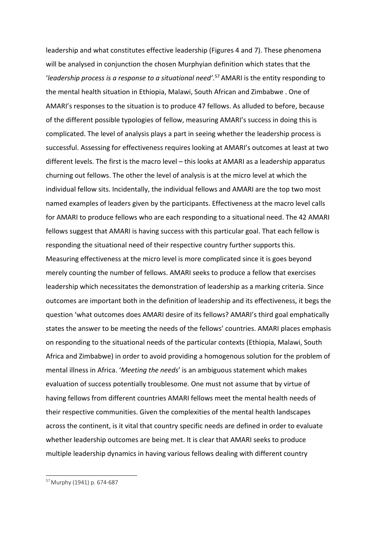leadership and what constitutes effective leadership (Figures 4 and 7). These phenomena will be analysed in conjunction the chosen Murphyian definition which states that the '*leadership process is a response to a situational need'*. 57 AMARI is the entity responding to the mental health situation in Ethiopia, Malawi, South African and Zimbabwe . One of AMARI's responses to the situation is to produce 47 fellows. As alluded to before, because of the different possible typologies of fellow, measuring AMARI's success in doing this is complicated. The level of analysis plays a part in seeing whether the leadership process is successful. Assessing for effectiveness requires looking at AMARI's outcomes at least at two different levels. The first is the macro level – this looks at AMARI as a leadership apparatus churning out fellows. The other the level of analysis is at the micro level at which the individual fellow sits. Incidentally, the individual fellows and AMARI are the top two most named examples of leaders given by the participants. Effectiveness at the macro level calls for AMARI to produce fellows who are each responding to a situational need. The 42 AMARI fellows suggest that AMARI is having success with this particular goal. That each fellow is responding the situational need of their respective country further supports this. Measuring effectiveness at the micro level is more complicated since it is goes beyond merely counting the number of fellows. AMARI seeks to produce a fellow that exercises leadership which necessitates the demonstration of leadership as a marking criteria. Since outcomes are important both in the definition of leadership and its effectiveness, it begs the question 'what outcomes does AMARI desire of its fellows? AMARI's third goal emphatically states the answer to be meeting the needs of the fellows' countries. AMARI places emphasis on responding to the situational needs of the particular contexts (Ethiopia, Malawi, South Africa and Zimbabwe) in order to avoid providing a homogenous solution for the problem of mental illness in Africa. '*Meeting the needs*' is an ambiguous statement which makes evaluation of success potentially troublesome. One must not assume that by virtue of having fellows from different countries AMARI fellows meet the mental health needs of their respective communities. Given the complexities of the mental health landscapes across the continent, is it vital that country specific needs are defined in order to evaluate whether leadership outcomes are being met. It is clear that AMARI seeks to produce multiple leadership dynamics in having various fellows dealing with different country

<sup>57</sup> Murphy (1941) p. 674-687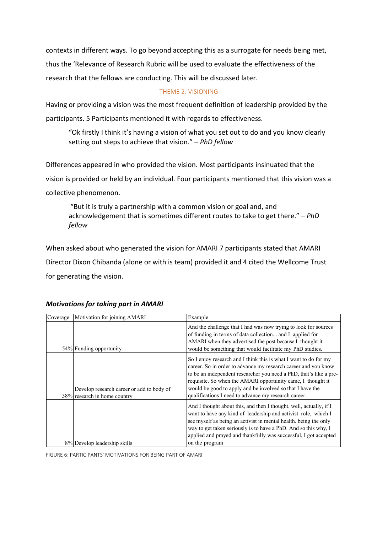contexts in different ways. To go beyond accepting this as a surrogate for needs being met, thus the 'Relevance of Research Rubric will be used to evaluate the effectiveness of the research that the fellows are conducting. This will be discussed later.

#### THEME 2: VISIONING

Having or providing a vision was the most frequent definition of leadership provided by the participants. 5 Participants mentioned it with regards to effectiveness.

"Ok firstly I think it's having a vision of what you set out to do and you know clearly setting out steps to achieve that vision." – *PhD fellow*

Differences appeared in who provided the vision. Most participants insinuated that the vision is provided or held by an individual. Four participants mentioned that this vision was a collective phenomenon.

"But it is truly a partnership with a common vision or goal and, and acknowledgement that is sometimes different routes to take to get there." – *PhD fellow*

When asked about who generated the vision for AMARI 7 participants stated that AMARI Director Dixon Chibanda (alone or with is team) provided it and 4 cited the Wellcome Trust for generating the vision.

| Coverage | Motivation for joining AMARI                                              | Example                                                                                                                                                                                                                                                                                                                                                                                      |
|----------|---------------------------------------------------------------------------|----------------------------------------------------------------------------------------------------------------------------------------------------------------------------------------------------------------------------------------------------------------------------------------------------------------------------------------------------------------------------------------------|
|          | 54% Funding opportunity                                                   | And the challenge that I had was now trying to look for sources<br>of funding in terms of data collection and I applied for<br>AMARI when they advertised the post because I thought it<br>would be something that would facilitate my PhD studies.                                                                                                                                          |
|          | Develop research career or add to body of<br>38% research in home country | So I enjoy research and I think this is what I want to do for my<br>career. So in order to advance my research career and you know<br>to be an independent researcher you need a PhD, that's like a pre-<br>requisite. So when the AMARI opportunity came, I thought it<br>would be good to apply and be involved so that I have the<br>qualifications I need to advance my research career. |
|          | 8% Develop leadership skills                                              | And I thought about this, and then I thought, well, actually, if I<br>want to have any kind of leadership and activist role, which I<br>see myself as being an activist in mental health. being the only<br>way to get taken seriously is to have a PhD. And so this why, I<br>applied and prayed and thankfully was successful, I got accepted<br>on the program                            |

#### *Motivations for taking part in AMARI*

FIGURE 6: PARTICIPANTS' MOTIVATIONS FOR BEING PART OF AMARI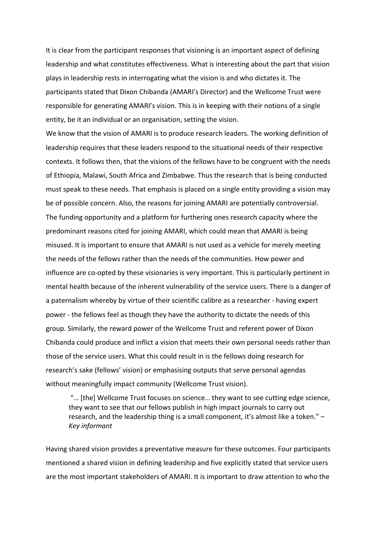It is clear from the participant responses that visioning is an important aspect of defining leadership and what constitutes effectiveness. What is interesting about the part that vision plays in leadership rests in interrogating what the vision is and who dictates it. The participants stated that Dixon Chibanda (AMARI's Director) and the Wellcome Trust were responsible for generating AMARI's vision. This is in keeping with their notions of a single entity, be it an individual or an organisation, setting the vision.

We know that the vision of AMARI is to produce research leaders. The working definition of leadership requires that these leaders respond to the situational needs of their respective contexts. It follows then, that the visions of the fellows have to be congruent with the needs of Ethiopia, Malawi, South Africa and Zimbabwe. Thus the research that is being conducted must speak to these needs. That emphasis is placed on a single entity providing a vision may be of possible concern. Also, the reasons for joining AMARI are potentially controversial. The funding opportunity and a platform for furthering ones research capacity where the predominant reasons cited for joining AMARI, which could mean that AMARI is being misused. It is important to ensure that AMARI is not used as a vehicle for merely meeting the needs of the fellows rather than the needs of the communities. How power and influence are co-opted by these visionaries is very important. This is particularly pertinent in mental health because of the inherent vulnerability of the service users. There is a danger of a paternalism whereby by virtue of their scientific calibre as a researcher - having expert power - the fellows feel as though they have the authority to dictate the needs of this group. Similarly, the reward power of the Wellcome Trust and referent power of Dixon Chibanda could produce and inflict a vision that meets their own personal needs rather than those of the service users. What this could result in is the fellows doing research for research's sake (fellows' vision) or emphasising outputs that serve personal agendas without meaningfully impact community (Wellcome Trust vision).

"… [the] Wellcome Trust focuses on science… they want to see cutting edge science, they want to see that our fellows publish in high impact journals to carry out research, and the leadership thing is a small component, it's almost like a token." – *Key informant*

Having shared vision provides a preventative measure for these outcomes. Four participants mentioned a shared vision in defining leadership and five explicitly stated that service users are the most important stakeholders of AMARI. It is important to draw attention to who the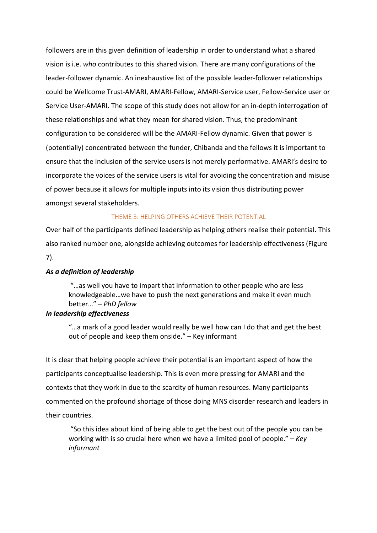followers are in this given definition of leadership in order to understand what a shared vision is i.e. *who* contributes to this shared vision. There are many configurations of the leader-follower dynamic. An inexhaustive list of the possible leader-follower relationships could be Wellcome Trust-AMARI, AMARI-Fellow, AMARI-Service user, Fellow-Service user or Service User-AMARI. The scope of this study does not allow for an in-depth interrogation of these relationships and what they mean for shared vision. Thus, the predominant configuration to be considered will be the AMARI-Fellow dynamic. Given that power is (potentially) concentrated between the funder, Chibanda and the fellows it is important to ensure that the inclusion of the service users is not merely performative. AMARI's desire to incorporate the voices of the service users is vital for avoiding the concentration and misuse of power because it allows for multiple inputs into its vision thus distributing power amongst several stakeholders.

#### THEME 3: HELPING OTHERS ACHIEVE THEIR POTENTIAL

Over half of the participants defined leadership as helping others realise their potential. This also ranked number one, alongside achieving outcomes for leadership effectiveness (Figure 7).

#### *As a definition of leadership*

"…as well you have to impart that information to other people who are less knowledgeable…we have to push the next generations and make it even much better…" – *PhD fellow*

#### *In leadership effectiveness*

"…a mark of a good leader would really be well how can I do that and get the best out of people and keep them onside." – Key informant

It is clear that helping people achieve their potential is an important aspect of how the participants conceptualise leadership. This is even more pressing for AMARI and the contexts that they work in due to the scarcity of human resources. Many participants commented on the profound shortage of those doing MNS disorder research and leaders in their countries.

"So this idea about kind of being able to get the best out of the people you can be working with is so crucial here when we have a limited pool of people." – *Key informant*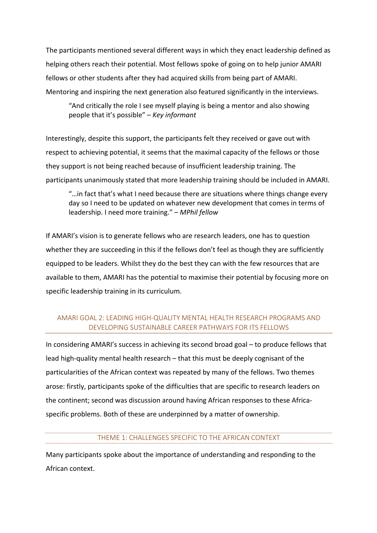The participants mentioned several different ways in which they enact leadership defined as helping others reach their potential. Most fellows spoke of going on to help junior AMARI fellows or other students after they had acquired skills from being part of AMARI. Mentoring and inspiring the next generation also featured significantly in the interviews.

"And critically the role I see myself playing is being a mentor and also showing people that it's possible" – *Key informant*

Interestingly, despite this support, the participants felt they received or gave out with respect to achieving potential, it seems that the maximal capacity of the fellows or those they support is not being reached because of insufficient leadership training. The participants unanimously stated that more leadership training should be included in AMARI.

"…in fact that's what I need because there are situations where things change every day so I need to be updated on whatever new development that comes in terms of leadership. I need more training." – *MPhil fellow*

If AMARI's vision is to generate fellows who are research leaders, one has to question whether they are succeeding in this if the fellows don't feel as though they are sufficiently equipped to be leaders. Whilst they do the best they can with the few resources that are available to them, AMARI has the potential to maximise their potential by focusing more on specific leadership training in its curriculum.

#### AMARI GOAL 2: LEADING HIGH-QUALITY MENTAL HEALTH RESEARCH PROGRAMS AND DEVELOPING SUSTAINABLE CAREER PATHWAYS FOR ITS FELLOWS

In considering AMARI's success in achieving its second broad goal – to produce fellows that lead high-quality mental health research – that this must be deeply cognisant of the particularities of the African context was repeated by many of the fellows. Two themes arose: firstly, participants spoke of the difficulties that are specific to research leaders on the continent; second was discussion around having African responses to these Africaspecific problems. Both of these are underpinned by a matter of ownership.

#### THEME 1: CHALLENGES SPECIFIC TO THE AFRICAN CONTEXT

Many participants spoke about the importance of understanding and responding to the African context.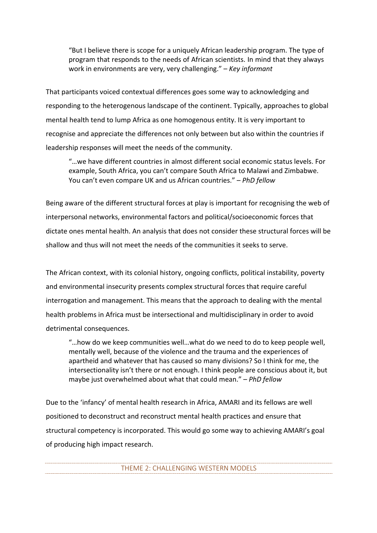"But I believe there is scope for a uniquely African leadership program. The type of program that responds to the needs of African scientists. In mind that they always work in environments are very, very challenging." – *Key informant*

That participants voiced contextual differences goes some way to acknowledging and responding to the heterogenous landscape of the continent. Typically, approaches to global mental health tend to lump Africa as one homogenous entity. It is very important to recognise and appreciate the differences not only between but also within the countries if leadership responses will meet the needs of the community.

"…we have different countries in almost different social economic status levels. For example, South Africa, you can't compare South Africa to Malawi and Zimbabwe. You can't even compare UK and us African countries." – *PhD fellow*

Being aware of the different structural forces at play is important for recognising the web of interpersonal networks, environmental factors and political/socioeconomic forces that dictate ones mental health. An analysis that does not consider these structural forces will be shallow and thus will not meet the needs of the communities it seeks to serve.

The African context, with its colonial history, ongoing conflicts, political instability, poverty and environmental insecurity presents complex structural forces that require careful interrogation and management. This means that the approach to dealing with the mental health problems in Africa must be intersectional and multidisciplinary in order to avoid detrimental consequences.

"…how do we keep communities well…what do we need to do to keep people well, mentally well, because of the violence and the trauma and the experiences of apartheid and whatever that has caused so many divisions? So I think for me, the intersectionality isn't there or not enough. I think people are conscious about it, but maybe just overwhelmed about what that could mean." – *PhD fellow*

Due to the 'infancy' of mental health research in Africa, AMARI and its fellows are well positioned to deconstruct and reconstruct mental health practices and ensure that structural competency is incorporated. This would go some way to achieving AMARI's goal of producing high impact research.

THEME 2: CHALLENGING WESTERN MODELS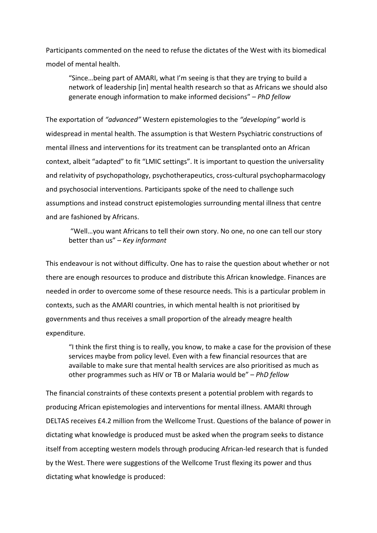Participants commented on the need to refuse the dictates of the West with its biomedical model of mental health.

"Since…being part of AMARI, what I'm seeing is that they are trying to build a network of leadership [in] mental health research so that as Africans we should also generate enough information to make informed decisions" – *PhD fellow*

The exportation of *"advanced"* Western epistemologies to the *"developing"* world is widespread in mental health. The assumption is that Western Psychiatric constructions of mental illness and interventions for its treatment can be transplanted onto an African context, albeit "adapted" to fit "LMIC settings". It is important to question the universality and relativity of psychopathology, psychotherapeutics, cross-cultural psychopharmacology and psychosocial interventions. Participants spoke of the need to challenge such assumptions and instead construct epistemologies surrounding mental illness that centre and are fashioned by Africans.

"Well…you want Africans to tell their own story. No one, no one can tell our story better than us" – *Key informant*

This endeavour is not without difficulty. One has to raise the question about whether or not there are enough resources to produce and distribute this African knowledge. Finances are needed in order to overcome some of these resource needs. This is a particular problem in contexts, such as the AMARI countries, in which mental health is not prioritised by governments and thus receives a small proportion of the already meagre health expenditure.

"I think the first thing is to really, you know, to make a case for the provision of these services maybe from policy level. Even with a few financial resources that are available to make sure that mental health services are also prioritised as much as other programmes such as HIV or TB or Malaria would be" – *PhD fellow*

The financial constraints of these contexts present a potential problem with regards to producing African epistemologies and interventions for mental illness. AMARI through DELTAS receives £4.2 million from the Wellcome Trust. Questions of the balance of power in dictating what knowledge is produced must be asked when the program seeks to distance itself from accepting western models through producing African-led research that is funded by the West. There were suggestions of the Wellcome Trust flexing its power and thus dictating what knowledge is produced: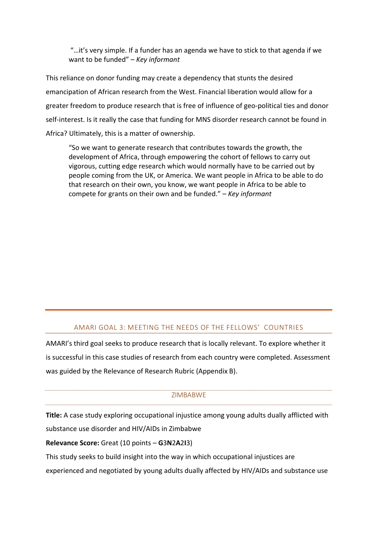"…it's very simple. If a funder has an agenda we have to stick to that agenda if we want to be funded" – *Key informant*

This reliance on donor funding may create a dependency that stunts the desired emancipation of African research from the West. Financial liberation would allow for a greater freedom to produce research that is free of influence of geo-political ties and donor self-interest. Is it really the case that funding for MNS disorder research cannot be found in Africa? Ultimately, this is a matter of ownership.

"So we want to generate research that contributes towards the growth, the development of Africa, through empowering the cohort of fellows to carry out vigorous, cutting edge research which would normally have to be carried out by people coming from the UK, or America. We want people in Africa to be able to do that research on their own, you know, we want people in Africa to be able to compete for grants on their own and be funded." – *Key informant*

#### AMARI GOAL 3: MEETING THE NEEDS OF THE FELLOWS' COUNTRIES

AMARI's third goal seeks to produce research that is locally relevant. To explore whether it is successful in this case studies of research from each country were completed. Assessment was guided by the Relevance of Research Rubric (Appendix B).

#### **ZIMBABWE**

**Title:** A case study exploring occupational injustice among young adults dually afflicted with substance use disorder and HIV/AIDs in Zimbabwe

**Relevance Score:** Great (10 points – **G**3**N**2**A**2**I**3)

This study seeks to build insight into the way in which occupational injustices are

experienced and negotiated by young adults dually affected by HIV/AIDs and substance use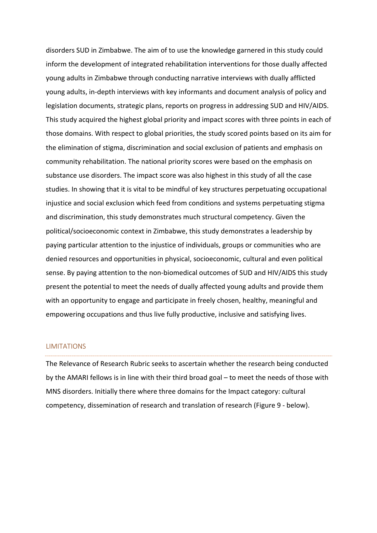disorders SUD in Zimbabwe. The aim of to use the knowledge garnered in this study could inform the development of integrated rehabilitation interventions for those dually affected young adults in Zimbabwe through conducting narrative interviews with dually afflicted young adults, in-depth interviews with key informants and document analysis of policy and legislation documents, strategic plans, reports on progress in addressing SUD and HIV/AIDS. This study acquired the highest global priority and impact scores with three points in each of those domains. With respect to global priorities, the study scored points based on its aim for the elimination of stigma, discrimination and social exclusion of patients and emphasis on community rehabilitation. The national priority scores were based on the emphasis on substance use disorders. The impact score was also highest in this study of all the case studies. In showing that it is vital to be mindful of key structures perpetuating occupational injustice and social exclusion which feed from conditions and systems perpetuating stigma and discrimination, this study demonstrates much structural competency. Given the political/socioeconomic context in Zimbabwe, this study demonstrates a leadership by paying particular attention to the injustice of individuals, groups or communities who are denied resources and opportunities in physical, socioeconomic, cultural and even political sense. By paying attention to the non-biomedical outcomes of SUD and HIV/AIDS this study present the potential to meet the needs of dually affected young adults and provide them with an opportunity to engage and participate in freely chosen, healthy, meaningful and empowering occupations and thus live fully productive, inclusive and satisfying lives.

#### LIMITATIONS

The Relevance of Research Rubric seeks to ascertain whether the research being conducted by the AMARI fellows is in line with their third broad goal – to meet the needs of those with MNS disorders. Initially there where three domains for the Impact category: cultural competency, dissemination of research and translation of research (Figure 9 - below).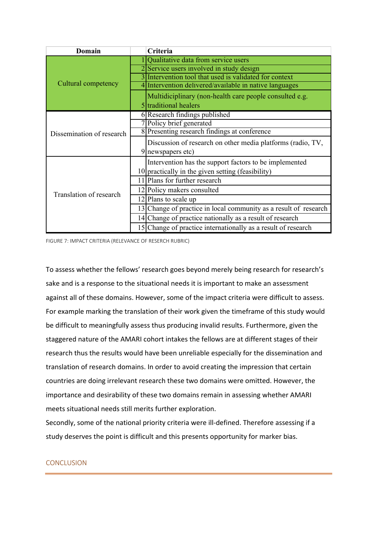| Domain                    | Criteria                                                         |
|---------------------------|------------------------------------------------------------------|
|                           | Qualitative data from service users                              |
|                           | 2 Service users involved in study design                         |
|                           | Intervention tool that used is validated for context             |
| Cultural competency       | 4 Intervention delivered/available in native languages           |
|                           | Multidiciplinary (non-health care people consulted e.g.          |
|                           | 5 traditional healers                                            |
|                           | 6 Research findings published                                    |
|                           | Policy brief generated                                           |
| Dissemination of research | 8 Presenting research findings at conference                     |
|                           | Discussion of research on other media platforms (radio, TV,      |
|                           | newspapers etc)                                                  |
|                           | Intervention has the support factors to be implemented           |
|                           | $10$ practically in the given setting (feasibility)              |
|                           | 11 Plans for further research                                    |
|                           | 12 Policy makers consulted                                       |
| Translation of research   | 12 Plans to scale up                                             |
|                           | 13 Change of practice in local community as a result of research |
|                           | 14 Change of practice nationally as a result of research         |
|                           | 15 Change of practice internationally as a result of research    |

FIGURE 7: IMPACT CRITERIA (RELEVANCE OF RESERCH RUBRIC)

To assess whether the fellows' research goes beyond merely being research for research's sake and is a response to the situational needs it is important to make an assessment against all of these domains. However, some of the impact criteria were difficult to assess. For example marking the translation of their work given the timeframe of this study would be difficult to meaningfully assess thus producing invalid results. Furthermore, given the staggered nature of the AMARI cohort intakes the fellows are at different stages of their research thus the results would have been unreliable especially for the dissemination and translation of research domains. In order to avoid creating the impression that certain countries are doing irrelevant research these two domains were omitted. However, the importance and desirability of these two domains remain in assessing whether AMARI meets situational needs still merits further exploration.

Secondly, some of the national priority criteria were ill-defined. Therefore assessing if a study deserves the point is difficult and this presents opportunity for marker bias.

#### **CONCLUSION**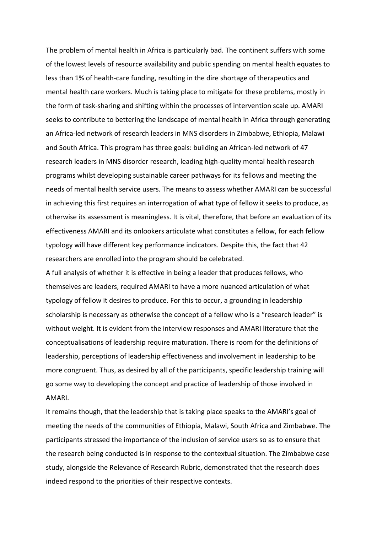The problem of mental health in Africa is particularly bad. The continent suffers with some of the lowest levels of resource availability and public spending on mental health equates to less than 1% of health-care funding, resulting in the dire shortage of therapeutics and mental health care workers. Much is taking place to mitigate for these problems, mostly in the form of task-sharing and shifting within the processes of intervention scale up. AMARI seeks to contribute to bettering the landscape of mental health in Africa through generating an Africa-led network of research leaders in MNS disorders in Zimbabwe, Ethiopia, Malawi and South Africa. This program has three goals: building an African-led network of 47 research leaders in MNS disorder research, leading high-quality mental health research programs whilst developing sustainable career pathways for its fellows and meeting the needs of mental health service users. The means to assess whether AMARI can be successful in achieving this first requires an interrogation of what type of fellow it seeks to produce, as otherwise its assessment is meaningless. It is vital, therefore, that before an evaluation of its effectiveness AMARI and its onlookers articulate what constitutes a fellow, for each fellow typology will have different key performance indicators. Despite this, the fact that 42 researchers are enrolled into the program should be celebrated.

A full analysis of whether it is effective in being a leader that produces fellows, who themselves are leaders, required AMARI to have a more nuanced articulation of what typology of fellow it desires to produce. For this to occur, a grounding in leadership scholarship is necessary as otherwise the concept of a fellow who is a "research leader" is without weight. It is evident from the interview responses and AMARI literature that the conceptualisations of leadership require maturation. There is room for the definitions of leadership, perceptions of leadership effectiveness and involvement in leadership to be more congruent. Thus, as desired by all of the participants, specific leadership training will go some way to developing the concept and practice of leadership of those involved in AMARI.

It remains though, that the leadership that is taking place speaks to the AMARI's goal of meeting the needs of the communities of Ethiopia, Malawi, South Africa and Zimbabwe. The participants stressed the importance of the inclusion of service users so as to ensure that the research being conducted is in response to the contextual situation. The Zimbabwe case study, alongside the Relevance of Research Rubric, demonstrated that the research does indeed respond to the priorities of their respective contexts.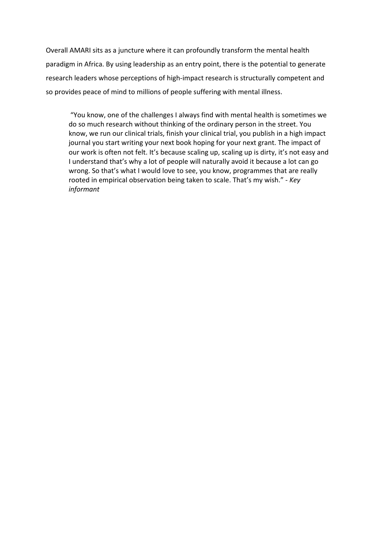Overall AMARI sits as a juncture where it can profoundly transform the mental health paradigm in Africa. By using leadership as an entry point, there is the potential to generate research leaders whose perceptions of high-impact research is structurally competent and so provides peace of mind to millions of people suffering with mental illness.

"You know, one of the challenges I always find with mental health is sometimes we do so much research without thinking of the ordinary person in the street. You know, we run our clinical trials, finish your clinical trial, you publish in a high impact journal you start writing your next book hoping for your next grant. The impact of our work is often not felt. It's because scaling up, scaling up is dirty, it's not easy and I understand that's why a lot of people will naturally avoid it because a lot can go wrong. So that's what I would love to see, you know, programmes that are really rooted in empirical observation being taken to scale. That's my wish." - *Key informant*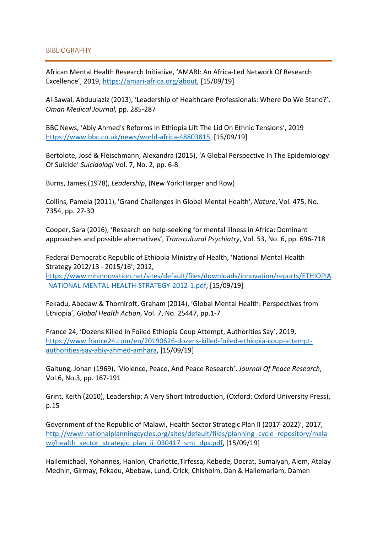African Mental Health Research Initiative, 'AMARI: An Africa-Led Network Of Research Excellence', 2019, https://amari-africa.org/about, [15/09/19]

Al-Sawai, Abduulaziz (2013), 'Leadership of Healthcare Professionals: Where Do We Stand?', *Oman Medical Journal,* pp. 285-287

BBC News, 'Abiy Ahmed's Reforms In Ethiopia Lift The Lid On Ethnic Tensions', 2019 https:/[/www.bbc.co.uk/news/world-africa-48803815, \[](http://www.bbc.co.uk/news/world-africa-48803815)15/09/19]

Bertolote, José & Fleischmann, Alexandra (2015), 'A Global Perspective In The Epidemiology Of Suicide' *Suicidologi* Vol. 7, No. 2, pp. 6-8

Burns, James (1978), *Leadership*, (New York:Harper and Row)

Collins, Pamela (2011), 'Grand Challenges in Global Mental Health', *Nature*, Vol. 475, No. 7354, pp. 27-30

Cooper, Sara (2016), 'Research on help-seeking for mental illness in Africa: Dominant approaches and possible alternatives', *Transcultural Psychiatry*, Vol. 53, No. 6, pp. 696-718

Federal Democratic Republic of Ethiopia Ministry of Health, 'National Mental Health Strategy 2012/13 - 2015/16', 2012, https:/[/www.mhinnovation.net/sites/default/files/downloads/innovation/reports/ETHIOPIA](http://www.mhinnovation.net/sites/default/files/downloads/innovation/reports/ETHIOPIA) -NATIONAL-MENTAL-HEALTH-STRATEGY-2012-1.pdf, [15/09/19]

Fekadu, Abedaw & Thorniroft, Graham (2014), 'Global Mental Health: Perspectives from Ethiopia', *Global Health Action*, Vol. 7, No. 25447, pp.1-7

France 24, 'Dozens Killed In Foiled Ethiopia Coup Attempt, Authorities Say', 2019, https:/[/www.france24.com/en/20190626-dozens-killed-foiled-ethiopia-coup-attempt](http://www.france24.com/en/20190626-dozens-killed-foiled-ethiopia-coup-attempt-)authorities-say-abiy-ahmed-amhara, [15/09/19]

Galtung, Johan (1969), 'Violence, Peace, And Peace Research', *Journal Of Peace Research*, Vol.6, No.3, pp. 167-191

Grint, Keith (2010), Leadership: A Very Short Introduction, (Oxford: Oxford University Press), p.15

Government of the Republic of Malawi, Health Sector Strategic Plan II (2017-2022)', 2017, [http://www.nationalplanningcycles.org/sites/default/files/planning\\_cycle\\_repository/mala](http://www.nationalplanningcycles.org/sites/default/files/planning_cycle_repository/mala) wi/health\_sector\_strategic\_plan\_ii\_030417\_smt\_dps.pdf, [15/09/19]

Hailemichael, Yohannes, Hanlon, Charlotte,Tirfessa, Kebede, Docrat, Sumaiyah, Alem, Atalay Medhin, Girmay, Fekadu, Abebaw, Lund, Crick, Chisholm, Dan & Hailemariam, Damen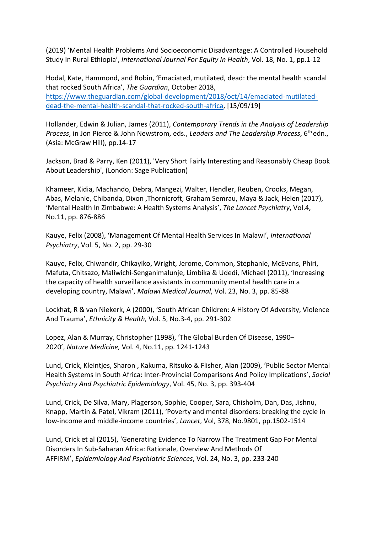(2019) 'Mental Health Problems And Socioeconomic Disadvantage: A Controlled Household Study In Rural Ethiopia', *International Journal For Equity In Health*, Vol. 18, No. 1, pp.1-12

Hodal, Kate, Hammond, and Robin, 'Emaciated, mutilated, dead: the mental health scandal that rocked South Africa', *The Guardian*, October 2018, https:/[/www.theguardian.com/global-development/2018/oct/14/emaciated-mutilated](http://www.theguardian.com/global-development/2018/oct/14/emaciated-mutilated-)dead-the-mental-health-scandal-that-rocked-south-africa, [15/09/19]

Hollander, Edwin & Julian, James (2011), *Contemporary Trends in the Analysis of Leadership Process*, in Jon Pierce & John Newstrom, eds., *Leaders and The Leadership Process*, 6th edn., (Asia: McGraw Hill), pp.14-17

Jackson, Brad & Parry, Ken (2011), 'Very Short Fairly Interesting and Reasonably Cheap Book About Leadership', (London: Sage Publication)

Khameer, Kidia, Machando, Debra, Mangezi, Walter, Hendler, Reuben, Crooks, Megan, Abas, Melanie, Chibanda, Dixon ,Thornicroft, Graham Semrau, Maya & Jack, Helen (2017), 'Mental Health In Zimbabwe: A Health Systems Analysis', *The Lancet Psychiatry*, Vol.4, No.11, pp. 876-886

Kauye, Felix (2008), 'Management Of Mental Health Services In Malawi', *International Psychiatry*, Vol. 5, No. 2, pp. 29-30

Kauye, Felix, Chiwandir, Chikayiko, Wright, Jerome, Common, Stephanie, McEvans, Phiri, Mafuta, Chitsazo, Maliwichi-Senganimalunje, Limbika & Udedi, Michael (2011), 'Increasing the capacity of health surveillance assistants in community mental health care in a developing country, Malawi', *Malawi Medical Journal*, Vol. 23, No. 3, pp. 85-88

Lockhat, R & van Niekerk, A (2000), 'South African Children: A History Of Adversity, Violence And Trauma', *Ethnicity & Health,* Vol. 5, No.3-4, pp. 291-302

Lopez, Alan & Murray, Christopher (1998), 'The Global Burden Of Disease, 1990– 2020', *Nature Medicine,* Vol. 4, No.11, pp. 1241-1243

Lund, Crick, Kleintjes, Sharon , Kakuma, Ritsuko & Flisher, Alan (2009), 'Public Sector Mental Health Systems In South Africa: Inter-Provincial Comparisons And Policy Implications', *Social Psychiatry And Psychiatric Epidemiology*, Vol. 45, No. 3, pp. 393-404

Lund, Crick, De Silva, Mary, Plagerson, Sophie, Cooper, Sara, Chisholm, Dan, Das, Jishnu, Knapp, Martin & Patel, Vikram (2011), 'Poverty and mental disorders: breaking the cycle in low-income and middle-income countries', *Lancet*, Vol, 378, No.9801, pp.1502-1514

Lund, Crick et al (2015), 'Generating Evidence To Narrow The Treatment Gap For Mental Disorders In Sub-Saharan Africa: Rationale, Overview And Methods Of AFFIRM', *Epidemiology And Psychiatric Sciences*, Vol. 24, No. 3, pp. 233-240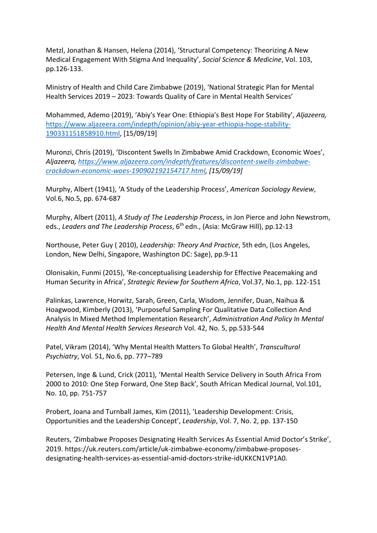Metzl, Jonathan & Hansen, Helena (2014), 'Structural Competency: Theorizing A New Medical Engagement With Stigma And Inequality', *Social Science & Medicine*, Vol. 103, pp.126-133.

Ministry of Health and Child Care Zimbabwe (2019), 'National Strategic Plan for Mental Health Services 2019 – 2023: Towards Quality of Care in Mental Health Services'

Mohammed, Ademo (2019), 'Abiy's Year One: Ethiopia's Best Hope For Stability', *Aljazeera,*  https:/[/www.aljazeera.com/indepth/opinion/abiy-year-ethiopia-hope-stability-](http://www.aljazeera.com/indepth/opinion/abiy-year-ethiopia-hope-stability-)190331151858910.html, [15/09/19]

Muronzi, Chris (2019), 'Discontent Swells In Zimbabwe Amid Crackdown, Economic Woes', *Aljazeera, https:/[/www.aljazeera.com/indepth/features/discontent-swells-zimbabwe](http://www.aljazeera.com/indepth/features/discontent-swells-zimbabwe-)crackdown-economic-woes-190902192154717.html, [15/09/19]*

Murphy, Albert (1941), 'A Study of the Leadership Process', *American Sociology Review*, Vol.6, No.5, pp. 674-687

Murphy, Albert (2011), *A Study of The Leadership Proces*s, in Jon Pierce and John Newstrom, eds., *Leaders and The Leadership Process*, 6th edn., (Asia: McGraw Hill), pp.12-13

Northouse, Peter Guy ( 2010), *Leadership: Theory And Practice*, 5th edn, (Los Angeles, London, New Delhi, Singapore, Washington DC: Sage), pp.9-11

Olonisakin, Funmi (2015), 'Re-conceptualising Leadership for Effective Peacemaking and Human Security in Africa', *Strategic Review for Southern Africa*, Vol.37, No.1, pp. 122-151

Palinkas, Lawrence, Horwitz, Sarah, Green, Carla, Wisdom, Jennifer, Duan, Naihua & Hoagwood, Kimberly (2013), 'Purposeful Sampling For Qualitative Data Collection And Analysis In Mixed Method Implementation Research', *Administration And Policy In Mental Health And Mental Health Services Research* Vol. 42, No. 5, pp.533-544

Patel, Vikram (2014), 'Why Mental Health Matters To Global Health', *Transcultural Psychiatry*, Vol. 51, No.6, pp. 777–789

Petersen, Inge & Lund, Crick (2011), 'Mental Health Service Delivery in South Africa From 2000 to 2010: One Step Forward, One Step Back', South African Medical Journal, Vol.101, No. 10, pp. 751-757

Probert, Joana and Turnball James, Kim (2011), 'Leadership Development: Crisis, Opportunities and the Leadership Concept', *Leadership*, Vol. 7, No. 2, pp. 137-150

Reuters, 'Zimbabwe Proposes Designating Health Services As Essential Amid Doctor's Strike', 2019. https://uk.reuters.com/article/uk-zimbabwe-economy/zimbabwe-proposesdesignating-health-services-as-essential-amid-doctors-strike-idUKKCN1VP1A0.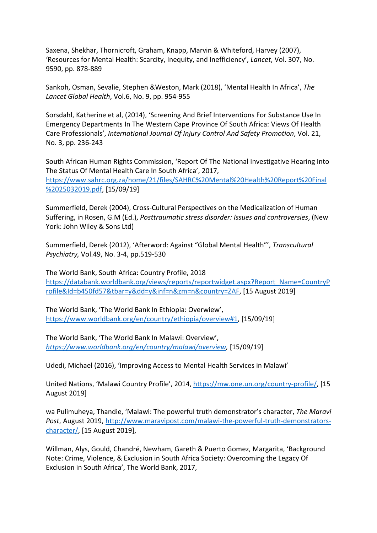Saxena, Shekhar, Thornicroft, Graham, Knapp, Marvin & Whiteford, Harvey (2007), 'Resources for Mental Health: Scarcity, Inequity, and Inefficiency', *Lancet*, Vol. 307, No. 9590, pp. 878-889

Sankoh, Osman, Sevalie, Stephen &Weston, Mark (2018), 'Mental Health In Africa', *The Lancet Global Health*, Vol.6, No. 9, pp. 954-955

Sorsdahl, Katherine et al, (2014), 'Screening And Brief Interventions For Substance Use In Emergency Departments In The Western Cape Province Of South Africa: Views Of Health Care Professionals', *International Journal Of Injury Control And Safety Promotion*, Vol. 21, No. 3, pp. 236-243

South African Human Rights Commission, 'Report Of The National Investigative Hearing Into The Status Of Mental Health Care In South Africa', 2017, https:/[/www.sahrc.org.za/home/21/files/SAHRC%20Mental%20Health%20Report%20Final](http://www.sahrc.org.za/home/21/files/SAHRC%20Mental%20Health%20Report%20Final) %2025032019.pdf, [15/09/19]

Summerfield, Derek (2004), Cross-Cultural Perspectives on the Medicalization of Human Suffering, in Rosen, G.M (Ed.), *Posttraumatic stress disorder: Issues and controversies*, (New York: John Wiley & Sons Ltd)

Summerfield, Derek (2012), 'Afterword: Against "Global Mental Health"', *Transcultural Psychiatry,* Vol.49, No. 3-4, pp.519-530

The World Bank, South Africa: Country Profile, 2018 https://databank.worldbank.org/views/reports/reportwidget.aspx?Report\_Name=CountryP rofile&Id=b450fd57&tbar=y&dd=y&inf=n&zm=n&country=ZAF, [15 August 2019]

The World Bank, 'The World Bank In Ethiopia: Overwiew', https:/[/www.worldbank.org/en/country/ethiopia/overview#1, \[](http://www.worldbank.org/en/country/ethiopia/overview#1)15/09/19]

The World Bank, 'The World Bank In Malawi: Overview', *https:/[/www.worldbank.org/en/country/malawi/overview,](http://www.worldbank.org/en/country/malawi/overview)* [15/09/19]

Udedi, Michael (2016), 'Improving Access to Mental Health Services in Malawi'

United Nations, 'Malawi Country Profile', 2014, https://mw.one.un.org/country-profile/, [15 August 2019]

wa Pulimuheya, Thandie, 'Malawi: The powerful truth demonstrator's character, *The Maravi Post*, August 2019, [http://www.maravipost.com/malawi-the-powerful-truth-demonstrators](http://www.maravipost.com/malawi-the-powerful-truth-demonstrators-)character/, [15 August 2019],

Willman, Alys, Gould, Chandré, Newham, Gareth & Puerto Gomez, Margarita, 'Background Note: Crime, Violence, & Exclusion in South Africa Society: Overcoming the Legacy Of Exclusion in South Africa', The World Bank, 2017,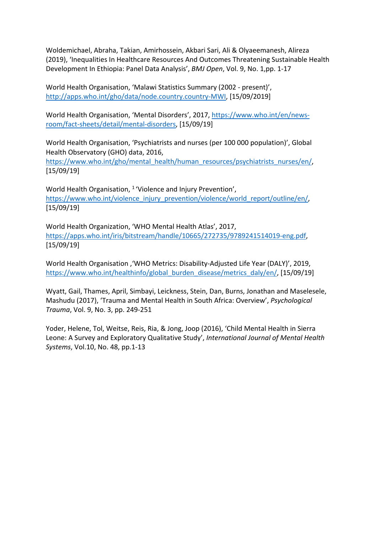Woldemichael, Abraha, Takian, Amirhossein, Akbari Sari, Ali & Olyaeemanesh, Alireza (2019), 'Inequalities In Healthcare Resources And Outcomes Threatening Sustainable Health Development In Ethiopia: Panel Data Analysis', *BMJ Open*, Vol. 9, No. 1,pp. 1-17

World Health Organisation, 'Malawi Statistics Summary (2002 - present)', [http://apps.who.int/gho/data/node.country.country-MWI, \[](http://apps.who.int/gho/data/node.country.country-MWI)15/09/2019]

World Health Organisation, 'Mental Disorders', 2017, https:/[/www.who.int/en/news](http://www.who.int/en/news-)room/fact-sheets/detail/mental-disorders, [15/09/19]

World Health Organisation, 'Psychiatrists and nurses (per 100 000 population)', Global Health Observatory (GHO) data, 2016,

https:/[/www.who.int/gho/mental\\_health/human\\_resources/psychiatrists\\_nurses/en/,](http://www.who.int/gho/mental_health/human_resources/psychiatrists_nurses/en/) [15/09/19]

World Health Organisation, <sup>1</sup> 'Violence and Injury Prevention', https:/[/www.who.int/violence\\_injury\\_prevention/violence/world\\_report/outline/en/,](http://www.who.int/violence_injury_prevention/violence/world_report/outline/en/) [15/09/19]

World Health Organization, 'WHO Mental Health Atlas', 2017, https://apps.who.int/iris/bitstream/handle/10665/272735/9789241514019-eng.pdf, [15/09/19]

World Health Organisation ,'WHO Metrics: Disability-Adjusted Life Year (DALY)', 2019, https:/[/www.who.int/healthinfo/global\\_burden\\_disease/metrics\\_daly/en/, \[](http://www.who.int/healthinfo/global_burden_disease/metrics_daly/en/)15/09/19]

Wyatt, Gail, Thames, April, Simbayi, Leickness, Stein, Dan, Burns, Jonathan and Maselesele, Mashudu (2017), 'Trauma and Mental Health in South Africa: Overview', *Psychological Trauma*, Vol. 9, No. 3, pp. 249-251

Yoder, Helene, Tol, Weitse, Reis, Ria, & Jong, Joop (2016), 'Child Mental Health in Sierra Leone: A Survey and Exploratory Qualitative Study', *International Journal of Mental Health Systems*, Vol.10, No. 48, pp.1-13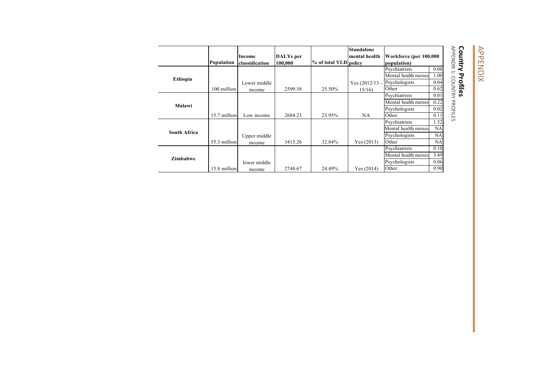# APPENDIX APPENDIX

# **Country Profiles**

**Country Profiles<br>APPENDIX 1: COUNTRY PROFILES** APPENDIX 1: COUNTRY PROFILES

|                     |              |                |           |                       | <b>Standalone</b> |                        |           |
|---------------------|--------------|----------------|-----------|-----------------------|-------------------|------------------------|-----------|
|                     |              | Income         | DALYs per |                       | mental health     | Workforce (per 100,000 |           |
|                     | Population   | classidication | 100,000   | % of total YLD policy |                   | population)            |           |
|                     |              |                |           |                       |                   | Psychiatrists          | 0.08      |
|                     |              |                |           |                       |                   | Mental health nurses   | 1.00      |
| Ethiopia            |              | Lower middle   |           |                       | Yes $(2012/13 -$  | Psychologists          | 0.04      |
|                     | 100 million  | income         | 2599.58   | 25.50%                | 15/16             | Other                  | 0.62      |
|                     |              |                |           |                       |                   | Psychiatrists          | 0.01      |
| Malawi              |              |                |           |                       |                   | Mental health nurses   | 0.22      |
|                     |              |                |           |                       |                   | Psychologists          | 0.02      |
|                     | 15.7 million | Low income     | 2684.23   | 23.95%                | NA                | Other                  | 0.11      |
|                     |              |                |           |                       |                   | Psychiatrists          | 1.52      |
|                     |              |                |           |                       |                   | Mental health nurses   | NA        |
| <b>South Africa</b> |              | Upper middle   |           |                       |                   | Psychologists          | NA        |
|                     | 55.3 million | income         | 3415.26   | 32.84%                | Yes (2013)        | Other                  | <b>NA</b> |
|                     |              |                |           |                       |                   | Psychiatrists          | 0.10      |
| <b>Zimbabwe</b>     |              |                |           |                       |                   | Mental health nurses   | 3.49      |
|                     |              | lower middle   |           |                       |                   | Psychologists          | 0.06      |
|                     | 15.8 million | mcome          | 2748.67   | 24.49%                | Yes (2014)        | Other                  | 0.90      |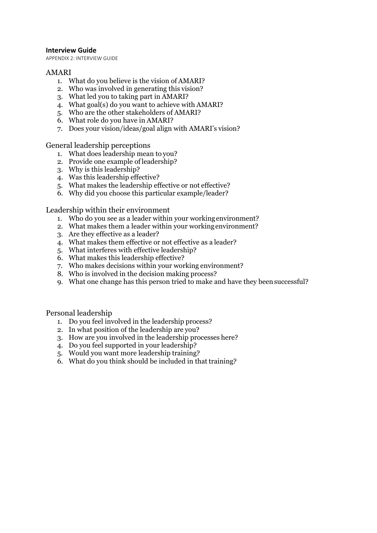#### **Interview Guide**

APPENDIX 2: INTERVIEW GUIDE

#### AMARI

- 1. What do you believe is the vision of AMARI?
- 2. Who was involved in generating this vision?
- 3. What led you to taking part in AMARI?
- 4. What goal(s) do you want to achieve with AMARI?
- 5. Who are the other stakeholders of AMARI?
- 6. What role do you have in AMARI?
- 7. Does your vision/ideas/goal align with AMARI's vision?

General leadership perceptions

- 1. What does leadership mean to you?
- 2. Provide one example ofleadership?
- 3. Why is this leadership?
- 4. Was this leadership effective?
- 5. What makes the leadership effective or not effective?
- 6. Why did you choose this particular example/leader?

Leadership within their environment

- 1. Who do you see as a leader within your workingenvironment?
- 2. What makes them a leader within your workingenvironment?
- 3. Are they effective as a leader?
- 4. What makes them effective or not effective as a leader?
- 5. What interferes with effective leadership?
- 6. What makes this leadership effective?
- 7. Who makes decisions within your working environment?
- 8. Who is involved in the decision making process?
- 9. What one change has this person tried to make and have they beensuccessful?

Personal leadership

- 1. Do you feel involved in the leadership process?
- 2. In what position of the leadership are you?
- 3. How are you involved in the leadership processes here?
- 4. Do you feel supported in your leadership?
- 5. Would you want more leadership training?
- 6. What do you think should be included in that training?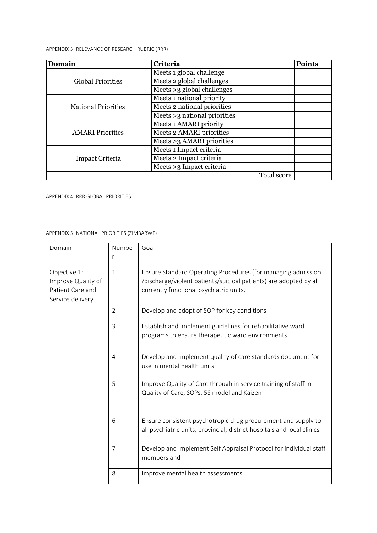APPENDIX 3: RELEVANCE OF RESEARCH RUBRIC (RRR)

| Domain                     | <b>Criteria</b>                | <b>Points</b> |
|----------------------------|--------------------------------|---------------|
|                            | Meets 1 global challenge       |               |
| <b>Global Priorities</b>   | Meets 2 global challenges      |               |
|                            | Meets $>3$ global challenges   |               |
|                            | Meets 1 national priority      |               |
| <b>National Priorities</b> | Meets 2 national priorities    |               |
|                            | Meets $>3$ national priorities |               |
|                            | Meets 1 AMARI priority         |               |
| <b>AMARI Priorities</b>    | Meets 2 AMARI priorities       |               |
|                            | Meets $>3$ AMARI priorities    |               |
|                            | Meets 1 Impact criteria        |               |
| <b>Impact Criteria</b>     | Meets 2 Impact criteria        |               |
|                            | Meets >3 Impact criteria       |               |
|                            | Total score                    |               |

APPENDIX 4: RRR GLOBAL PRIORITIES

APPENDIX 5: NATIONAL PRIORITIES (ZIMBABWE)

| Domain                                                                     | Numbe<br>r     | Goal                                                                                                                                                                         |
|----------------------------------------------------------------------------|----------------|------------------------------------------------------------------------------------------------------------------------------------------------------------------------------|
| Objective 1:<br>Improve Quality of<br>Patient Care and<br>Service delivery | $\mathbf{1}$   | Ensure Standard Operating Procedures (for managing admission<br>/discharge/violent patients/suicidal patients) are adopted by all<br>currently functional psychiatric units, |
|                                                                            | 2              | Develop and adopt of SOP for key conditions                                                                                                                                  |
|                                                                            | $\overline{3}$ | Establish and implement guidelines for rehabilitative ward<br>programs to ensure therapeutic ward environments                                                               |
|                                                                            | $\overline{4}$ | Develop and implement quality of care standards document for<br>use in mental health units                                                                                   |
|                                                                            | 5              | Improve Quality of Care through in service training of staff in<br>Quality of Care, SOPs, 5S model and Kaizen                                                                |
|                                                                            | 6              | Ensure consistent psychotropic drug procurement and supply to<br>all psychiatric units, provincial, district hospitals and local clinics                                     |
|                                                                            | $\overline{7}$ | Develop and implement Self Appraisal Protocol for individual staff<br>members and                                                                                            |
|                                                                            | 8              | Improve mental health assessments                                                                                                                                            |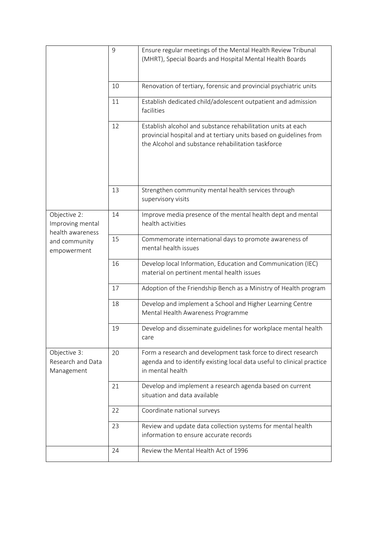|                                                      | 9  | Ensure regular meetings of the Mental Health Review Tribunal<br>(MHRT), Special Boards and Hospital Mental Health Boards                                                                 |
|------------------------------------------------------|----|------------------------------------------------------------------------------------------------------------------------------------------------------------------------------------------|
|                                                      |    |                                                                                                                                                                                          |
|                                                      | 10 | Renovation of tertiary, forensic and provincial psychiatric units                                                                                                                        |
|                                                      | 11 | Establish dedicated child/adolescent outpatient and admission<br>facilities                                                                                                              |
|                                                      | 12 | Establish alcohol and substance rehabilitation units at each<br>provincial hospital and at tertiary units based on guidelines from<br>the Alcohol and substance rehabilitation taskforce |
|                                                      |    | Strengthen community mental health services through                                                                                                                                      |
|                                                      | 13 | supervisory visits                                                                                                                                                                       |
| Objective 2:<br>Improving mental<br>health awareness | 14 | Improve media presence of the mental health dept and mental<br>health activities                                                                                                         |
| and community<br>empowerment                         | 15 | Commemorate international days to promote awareness of<br>mental health issues                                                                                                           |
|                                                      | 16 | Develop local Information, Education and Communication (IEC)<br>material on pertinent mental health issues                                                                               |
|                                                      | 17 | Adoption of the Friendship Bench as a Ministry of Health program                                                                                                                         |
|                                                      | 18 | Develop and implement a School and Higher Learning Centre<br>Mental Health Awareness Programme                                                                                           |
|                                                      | 19 | Develop and disseminate guidelines for workplace mental health<br>care                                                                                                                   |
| Objective 3:<br>Research and Data<br>Management      | 20 | Form a research and development task force to direct research<br>agenda and to identify existing local data useful to clinical practice<br>in mental health                              |
|                                                      | 21 | Develop and implement a research agenda based on current<br>situation and data available                                                                                                 |
|                                                      | 22 | Coordinate national surveys                                                                                                                                                              |
|                                                      | 23 | Review and update data collection systems for mental health<br>information to ensure accurate records                                                                                    |
|                                                      | 24 | Review the Mental Health Act of 1996                                                                                                                                                     |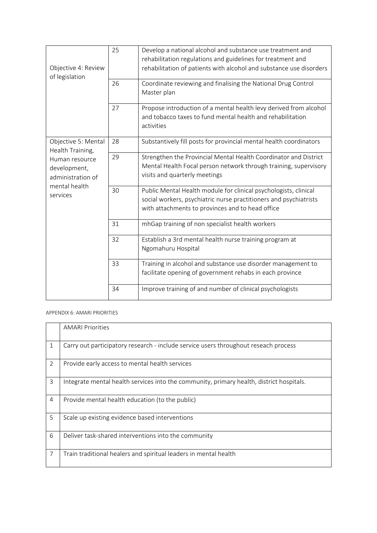| Objective 4: Review<br>of legislation                                                                                       | 25 | Develop a national alcohol and substance use treatment and<br>rehabilitation regulations and guidelines for treatment and<br>rehabilitation of patients with alcohol and substance use disorders |
|-----------------------------------------------------------------------------------------------------------------------------|----|--------------------------------------------------------------------------------------------------------------------------------------------------------------------------------------------------|
|                                                                                                                             | 26 | Coordinate reviewing and finalising the National Drug Control<br>Master plan                                                                                                                     |
|                                                                                                                             | 27 | Propose introduction of a mental health levy derived from alcohol<br>and tobacco taxes to fund mental health and rehabilitation<br>activities                                                    |
| Objective 5: Mental<br>Health Training,<br>Human resource<br>development,<br>administration of<br>mental health<br>services | 28 | Substantively fill posts for provincial mental health coordinators                                                                                                                               |
|                                                                                                                             | 29 | Strengthen the Provincial Mental Health Coordinator and District<br>Mental Health Focal person network through training, supervisory<br>visits and quarterly meetings                            |
|                                                                                                                             | 30 | Public Mental Health module for clinical psychologists, clinical<br>social workers, psychiatric nurse practitioners and psychiatrists<br>with attachments to provinces and to head office        |
|                                                                                                                             | 31 | mhGap training of non specialist health workers                                                                                                                                                  |
|                                                                                                                             | 32 | Establish a 3rd mental health nurse training program at<br>Ngomahuru Hospital                                                                                                                    |
|                                                                                                                             | 33 | Training in alcohol and substance use disorder management to<br>facilitate opening of government rehabs in each province                                                                         |
|                                                                                                                             | 34 | Improve training of and number of clinical psychologists                                                                                                                                         |

APPENDIX 6: AMARI PRIORITIES

|                | <b>AMARI Priorities</b>                                                                  |
|----------------|------------------------------------------------------------------------------------------|
| 1              | Carry out participatory research - include service users throughout reseach process      |
| $\overline{2}$ | Provide early access to mental health services                                           |
| 3              | Integrate mental health services into the community, primary health, district hospitals. |
| $\overline{4}$ | Provide mental health education (to the public)                                          |
| 5              | Scale up existing evidence based interventions                                           |
| 6              | Deliver task-shared interventions into the community                                     |
| 7              | Train traditional healers and spiritual leaders in mental health                         |